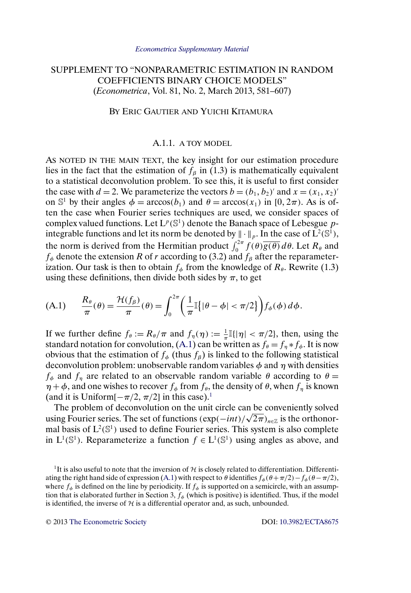# <span id="page-0-0"></span>SUPPLEMENT TO "NONPARAMETRIC ESTIMATION IN RANDOM COEFFICIENTS BINARY CHOICE MODELS" (*Econometrica*, Vol. 81, No. 2, March 2013, 581–607)

## BY ERIC GAUTIER AND YUICHI KITAMURA

## A.1.1. A TOY MODEL

AS NOTED IN THE MAIN TEXT, the key insight for our estimation procedure lies in the fact that the estimation of  $f_\beta$  in (1.3) is mathematically equivalent to a statistical deconvolution problem. To see this, it is useful to first consider the case with  $d = 2$ . We parameterize the vectors  $b = (b_1, b_2)'$  and  $x = (x_1, x_2)'$ on  $\mathbb{S}^1$  by their angles  $\phi = \arccos(b_1)$  and  $\theta = \arccos(x_1)$  in  $[0, 2\pi)$ . As is often the case when Fourier series techniques are used, we consider spaces of complex valued functions. Let  $L^p(\mathbb{S}^1)$  denote the Banach space of Lebesgue pintegrable functions and let its norm be denoted by  $\|\cdot\|_p$ . In the case of  $\mathbf{L}^2(\mathbb{S}^1)$ , the norm is derived from the Hermitian product  $\int_0^{2\pi} f(\theta) \overline{g(\theta)} d\theta$ . Let  $R_\theta$  and  $f_{\phi}$  denote the extension R of r according to (3.2) and  $f_{\beta}$  after the reparameterization. Our task is then to obtain  $f_{\phi}$  from the knowledge of  $R_{\theta}$ . Rewrite (1.3) using these definitions, then divide both sides by  $\pi$ , to get

(A.1) 
$$
\frac{R_{\theta}}{\pi}(\theta) = \frac{\mathcal{H}(f_{\beta})}{\pi}(\theta) = \int_0^{2\pi} \left(\frac{1}{\pi}\left[|\theta - \phi| < \pi/2\right]\right) f_{\phi}(\phi) \,d\phi.
$$

If we further define  $f_{\theta} := R_{\theta}/\pi$  and  $f_{\eta}(\eta) := \frac{1}{\pi} \mathbb{I}(|\eta| < \pi/2]$ , then, using the standard notation for convolution, (A.1) can be written as  $f_{\theta} = f_{\eta} * f_{\phi}$ . It is now obvious that the estimation of  $f_{\phi}$  (thus  $f_{\beta}$ ) is linked to the following statistical deconvolution problem: unobservable random variables  $\phi$  and  $\eta$  with densities  $f_{\phi}$  and  $f_{\eta}$  are related to an observable random variable  $\theta$  according to  $\theta =$  $\eta + \phi$ , and one wishes to recover  $f_{\phi}$  from  $f_{\theta}$ , the density of  $\theta$ , when  $f_{\eta}$  is known (and it is Uniform[ $-\pi/2$ ,  $\pi/2$ ] in this case).<sup>1</sup>

The problem of deconvolution on the unit circle can be conveniently solved The problem of deconvolution on the unit circle can be conveniently solved<br>using Fourier series. The set of functions  $(\exp(-int)/\sqrt{2\pi})_{n\in\mathbb{Z}}$  is the orthonormal basis of  $L^2(\mathbb{S}^1)$  used to define Fourier series. This system is also complete in  $L^1(\mathbb{S}^1)$ . Reparameterize a function  $f \in L^1(\mathbb{S}^1)$  using angles as above, and

<sup>1</sup>It is also useful to note that the inversion of  $H$  is closely related to differentiation. Differentiating the right hand side of expression (A.1) with respect to  $\theta$  identifies  $f_{\phi}(\theta + \pi/2) - f_{\phi}(\theta - \pi/2)$ , where  $f_{\phi}$  is defined on the line by periodicity. If  $f_{\phi}$  is supported on a semicircle, with an assumption that is elaborated further in Section 3,  $f_{\phi}$  (which is positive) is identified. Thus, if the model is identified, the inverse of  $H$  is a differential operator and, as such, unbounded.

© 2013 [The Econometric Society](http://www.econometricsociety.org/) DOI: [10.3982/ECTA8675](http://dx.doi.org/10.3982/ECTA8675)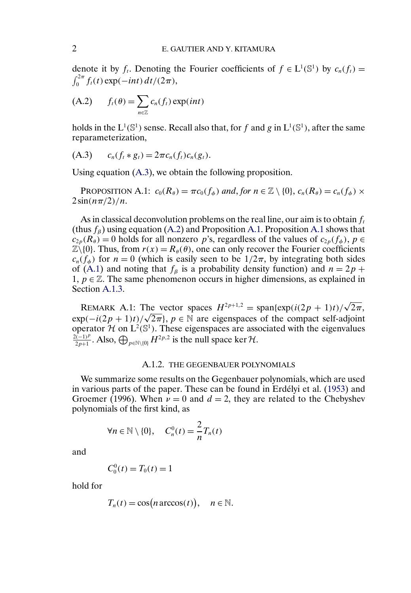<span id="page-1-0"></span>denote it by  $f_t$ . Denoting the Fourier coefficients of  $f \in L^1(\mathbb{S}^1)$  by  $c_n(f_t) =$  $\int_0^{2\pi} f_t(t) \exp(-int) dt/(2\pi),$ 

$$
(A.2) \t f_t(\theta) = \sum_{n \in \mathbb{Z}} c_n(f_t) \exp(int)
$$

holds in the  $L^1(\mathbb{S}^1)$  sense. Recall also that, for f and g in  $L^1(\mathbb{S}^1)$ , after the same reparameterization,

(A.3) 
$$
c_n(f_t * g_t) = 2\pi c_n(f_t)c_n(g_t).
$$

Using equation (A.3), we obtain the following proposition.

PROPOSITION A.1:  $c_0(R_\theta) = \pi c_0(f_\phi)$  and, for  $n \in \mathbb{Z} \setminus \{0\}$ ,  $c_n(R_\theta) = c_n(f_\phi) \times$  $2\sin(n\pi/2)/n$ .

As in classical deconvolution problems on the real line, our aim is to obtain  $f_t$ (thus  $f_B$ ) using equation (A.2) and Proposition A.1. Proposition A.1 shows that  $c_{2p}(R_{\theta}) = 0$  holds for all nonzero p's, regardless of the values of  $c_{2p}(f_{\phi}), p \in$  $\mathbb{Z}\setminus\{0\}$ . Thus, from  $r(x) = R_{\theta}(\theta)$ , one can only recover the Fourier coefficients  $c_n(f_\phi)$  for  $n = 0$  (which is easily seen to be  $1/2\pi$ , by integrating both sides of (A.1) and noting that  $f_\beta$  is a probability density function) and  $n = 2p +$ 1,  $p \in \mathbb{Z}$ . The same phenomenon occurs in higher dimensions, as explained in Section [A.1.3.](#page-3-0)

REMARK A.1: The vector spaces  $H^{2p+1,2} = \text{span}\{\exp(i(2p + 1)t)/\sqrt{2\pi},\}$ EMARK A.1: The vector spaces  $H^{2p+2p} = \text{span}\{\exp((2p + 1)t)/\sqrt{2\pi}, \exp(-(2p + 1)t)/\sqrt{2\pi}\}, p \in \mathbb{N}$  are eigenspaces of the compact self-adjoint operator  $\mathcal{H}$  on  $L^2(\mathbb{S}^1)$ . These eigenspaces are associated with the eigenvalues  $\frac{2(-1)^p}{2p+1}$ . Also,  $\bigoplus_{p \in \mathbb{N}\setminus\{0\}} H^{2p,2}$  is the null space ker H.

### A.1.2. THE GEGENBAUER POLYNOMIALS

We summarize some results on the Gegenbauer polynomials, which are used in various parts of the paper. These can be found in Erdélyi et al. [\(1953\)](#page-29-0) and Groemer (1996). When  $\nu = 0$  and  $d = 2$ , they are related to the Chebyshev polynomials of the first kind, as

$$
\forall n \in \mathbb{N} \setminus \{0\}, \quad C_n^0(t) = \frac{2}{n} T_n(t)
$$

and

$$
C_0^0(t) = T_0(t) = 1
$$

hold for

$$
T_n(t) = \cos(n \arccos(t)), \quad n \in \mathbb{N}.
$$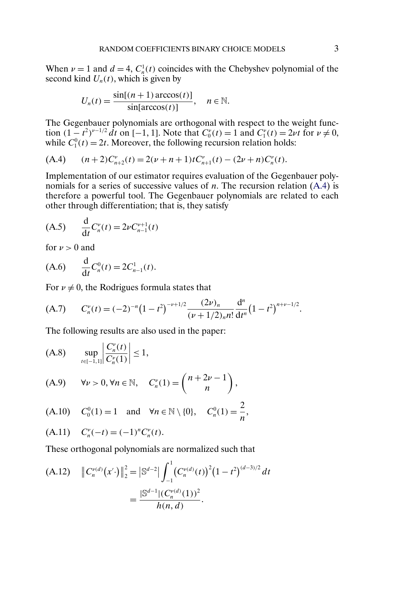<span id="page-2-0"></span>When  $\nu = 1$  and  $d = 4$ ,  $C_n^1(t)$  coincides with the Chebyshev polynomial of the second kind  $U_n(t)$ , which is given by

$$
U_n(t) = \frac{\sin[(n+1)\arccos(t)]}{\sin[\arccos(t)]}, \quad n \in \mathbb{N}.
$$

The Gegenbauer polynomials are orthogonal with respect to the weight function  $(1 - t^2)^{\nu - 1/2} dt$  on [-1, 1]. Note that  $C_0^{\nu}(t) = 1$  and  $C_1^{\nu}(t) = 2\nu t$  for  $\nu \neq 0$ , while  $C_1^0(t) = 2t$ . Moreover, the following recursion relation holds:

$$
(A.4) \qquad (n+2)C_{n+2}^{\nu}(t) = 2(\nu+n+1)tC_{n+1}^{\nu}(t) - (2\nu+n)C_n^{\nu}(t).
$$

Implementation of our estimator requires evaluation of the Gegenbauer polynomials for a series of successive values of *n*. The recursion relation  $(A.4)$  is therefore a powerful tool. The Gegenbauer polynomials are related to each other through differentiation; that is, they satisfy

$$
(A.5) \qquad \frac{d}{dt} C_n^{\nu}(t) = 2\nu C_{n-1}^{\nu+1}(t)
$$

for  $\nu > 0$  and

$$
(A.6) \qquad \frac{d}{dt}C_n^0(t) = 2C_{n-1}^1(t).
$$

For  $\nu \neq 0$ , the Rodrigues formula states that

$$
(A.7) \tCnv(t) = (-2)-n(1-t2)-v+1/2\frac{(2v)n}{(v+1/2)nn!}\frac{dn}{dtn}(1-t2)n+v-1/2.
$$

The following results are also used in the paper:

(A.8) 
$$
\sup_{t \in [-1,1]} \left| \frac{C_n^{\nu}(t)}{C_n^{\nu}(1)} \right| \le 1,
$$

$$
(A.9) \qquad \forall \nu > 0, \forall n \in \mathbb{N}, \quad C_n^{\nu}(1) = \binom{n+2\nu-1}{n},
$$

(A.10) 
$$
C_0^0(1) = 1
$$
 and  $\forall n \in \mathbb{N} \setminus \{0\}, C_n^0(1) = \frac{2}{n}$ ,

$$
(A.11) \tCnv(-t) = (-1)nCnv(t).
$$

These orthogonal polynomials are normalized such that

(A.12) 
$$
\|C_n^{\nu(d)}(x')\|_2^2 = \left|\mathbb{S}^{d-2}\right| \int_{-1}^1 (C_n^{\nu(d)}(t))^2 (1-t^2)^{(d-3)/2} dt
$$

$$
= \frac{|\mathbb{S}^{d-1}|(C_n^{\nu(d)}(1))^2}{h(n,d)}.
$$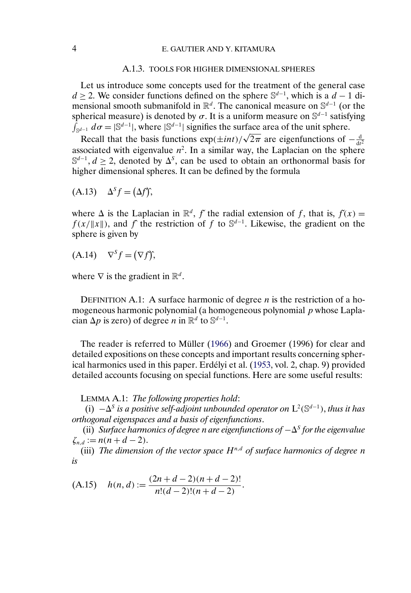#### A.1.3. TOOLS FOR HIGHER DIMENSIONAL SPHERES

<span id="page-3-0"></span>Let us introduce some concepts used for the treatment of the general case  $d \geq 2$ . We consider functions defined on the sphere  $\mathbb{S}^{d-1}$ , which is a  $d-1$  dimensional smooth submanifold in  $\mathbb{R}^d$ . The canonical measure on  $\mathbb{S}^{d-1}$  (or the spherical measure) is denoted by  $\sigma$ . It is a uniform measure on S<sup>d-1</sup> satisfying  $\int_{\mathbb{S}^{d-1}} d\sigma = |\mathbb{S}^{d-1}|$ , where  $|\mathbb{S}^{d-1}|$  signifies the surface area of the unit sphere.

Recall that the basis functions  $\exp(\pm int)/\sqrt{2\pi}$  are eigenfunctions of  $-\frac{d}{dt^2}$ associated with eigenvalue  $n^2$ . In a similar way, the Laplacian on the sphere  $\mathbb{S}^{d-1}$ ,  $d \ge 2$ , denoted by  $\Delta^{S}$ , can be used to obtain an orthonormal basis for higher dimensional spheres. It can be defined by the formula

$$
(A.13) \quad \Delta^S f = (\Delta f)^{*},
$$

where  $\Delta$  is the Laplacian in  $\mathbb{R}^d$ , f´ the radial extension of f, that is,  $f(x) =$  $f(x/\|x\|)$ , and f the restriction of f to  $\mathbb{S}^{d-1}$ . Likewise, the gradient on the sphere is given by

 $(A.14)$   $\nabla^S f = (\nabla f)$ ;

where  $\nabla$  is the gradient in  $\mathbb{R}^d$ .

DEFINITION A.1: A surface harmonic of degree *n* is the restriction of a homogeneous harmonic polynomial (a homogeneous polynomial  $p$  whose Laplacian  $\Delta p$  is zero) of degree n in  $\mathbb{R}^d$  to  $\mathbb{S}^{d-1}$ .

The reader is referred to Müller [\(1966\)](#page-29-0) and Groemer (1996) for clear and detailed expositions on these concepts and important results concerning spherical harmonics used in this paper. Erdélyi et al. [\(1953,](#page-29-0) vol. 2, chap. 9) provided detailed accounts focusing on special functions. Here are some useful results:

LEMMA A.1: *The following properties hold*:

(i)  $-\Delta^s$  *is a positive self-adjoint unbounded operator on*  $L^2(\mathbb{S}^{d-1})$ *, thus it has orthogonal eigenspaces and a basis of eigenfunctions*.

(ii) *Surface harmonics of degree n are eigenfunctions of* −∆<sup>*s</sup> for the eigenvalue*</sup>  $\zeta_{n,d} := n(n + d - 2).$ 

(iii) *The dimension of the vector space*  $H^{n,d}$  *of surface harmonics of degree n is*

$$
(A.15) \quad h(n,d) := \frac{(2n+d-2)(n+d-2)!}{n!(d-2)!(n+d-2)}.
$$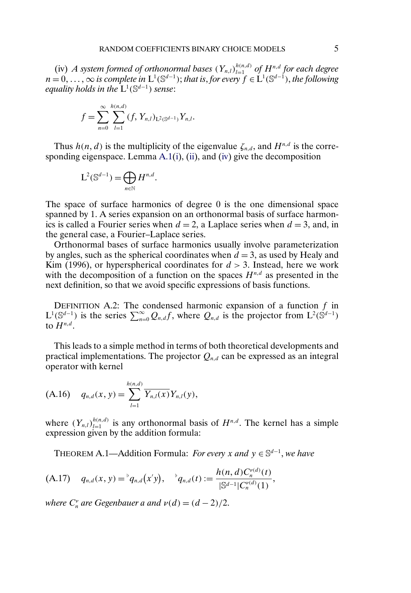<span id="page-4-0"></span>(iv) *A* system formed of orthonormal bases  $(Y_{n,l})_{l=1}^{h(n,d)}$  of  $H^{n,d}$  for each degree  $n = 0, \ldots, \infty$  is complete in  $L^1(\mathbb{S}^{d-1})$ ; that is, for every  $f \in L^1(\mathbb{S}^{d-1})$ , the following *equality holds in the* L1 (Sd−<sup>1</sup> ) *sense*:

$$
f = \sum_{n=0}^{\infty} \sum_{l=1}^{h(n,d)} (f, Y_{n,l})_{L^2(\mathbb{S}^{d-1})} Y_{n,l}.
$$

Thus  $h(n, d)$  is the multiplicity of the eigenvalue  $\zeta_{n,d}$ , and  $H^{n,d}$  is the corresponding eigenspace. Lemma [A.1\(i\)](#page-3-0), [\(ii\)](#page-3-0), and [\(iv\)](#page-3-0) give the decomposition

$$
L^2(\mathbb{S}^{d-1}) = \bigoplus_{n \in \mathbb{N}} H^{n,d}.
$$

The space of surface harmonics of degree 0 is the one dimensional space spanned by 1. A series expansion on an orthonormal basis of surface harmonics is called a Fourier series when  $d = 2$ , a Laplace series when  $d = 3$ , and, in the general case, a Fourier–Laplace series.

Orthonormal bases of surface harmonics usually involve parameterization by angles, such as the spherical coordinates when  $d = 3$ , as used by Healy and Kim (1996), or hyperspherical coordinates for  $d > 3$ . Instead, here we work with the decomposition of a function on the spaces  $H^{n,d}$  as presented in the next definition, so that we avoid specific expressions of basis functions.

DEFINITION A.2: The condensed harmonic expansion of a function  $f$  in  $L^1(\mathbb{S}^{d-1})$  is the series  $\sum_{n=0}^{\infty} Q_{n,d} f$ , where  $Q_{n,d}$  is the projector from  $L^2(\mathbb{S}^{d-1})$ to  $H^{n,d}$ .

This leads to a simple method in terms of both theoretical developments and practical implementations. The projector  $Q_{n,d}$  can be expressed as an integral operator with kernel

$$
(A.16) \t q_{n,d}(x,y) = \sum_{l=1}^{h(n,d)} \overline{Y_{n,l}(x)} Y_{n,l}(y),
$$

where  $(Y_{n,l})_{l=1}^{h(n,d)}$  is any orthonormal basis of  $H^{n,d}$ . The kernel has a simple expression given by the addition formula:

THEOREM A.1—Addition Formula: *For every* x and  $y \in \mathbb{S}^{d-1}$ , we have

$$
(A.17) \t q_{n,d}(x,y) = {}^{\flat}q_{n,d}(x'y), \t {}^{\flat}q_{n,d}(t) := \frac{h(n,d)C_n^{\nu(d)}(t)}{|S^{d-1}|C_n^{\nu(d)}(1)},
$$

*where*  $C_n^{\nu}$  *are Gegenbauer a and*  $\nu(d) = (d - 2)/2$ .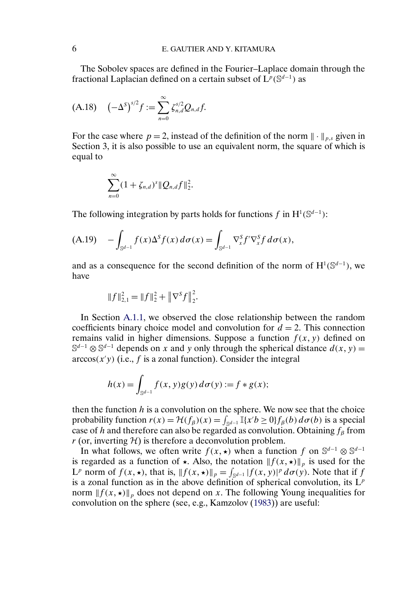<span id="page-5-0"></span>The Sobolev spaces are defined in the Fourier–Laplace domain through the fractional Laplacian defined on a certain subset of  $\dot{L}^p(\mathbb{S}^{d-1})$  as

$$
(A.18) \quad (-\Delta^S)^{s/2} f := \sum_{n=0}^{\infty} \zeta_{n,d}^{s/2} Q_{n,d} f.
$$

For the case where  $p = 2$ , instead of the definition of the norm  $\|\cdot\|_{p,s}$  given in Section 3, it is also possible to use an equivalent norm, the square of which is equal to

$$
\sum_{n=0}^{\infty} (1 + \zeta_{n,d})^s \|Q_{n,d}f\|_2^2.
$$

The following integration by parts holds for functions f in  $H^1(\mathbb{S}^{d-1})$ :

$$
(A.19) \quad -\int_{\mathbb{S}^{d-1}} f(x) \Delta^S f(x) \, d\sigma(x) = \int_{\mathbb{S}^{d-1}} \nabla_x^S f' \nabla_x^S f \, d\sigma(x),
$$

and as a consequence for the second definition of the norm of  $H^1(\mathbb{S}^{d-1})$ , we have

$$
||f||_{2,1}^{2} = ||f||_{2}^{2} + ||\nabla^{S} f||_{2}^{2}.
$$

In Section [A.1.1,](#page-0-0) we observed the close relationship between the random coefficients binary choice model and convolution for  $d = 2$ . This connection remains valid in higher dimensions. Suppose a function  $f(x, y)$  defined on  $\mathbb{S}^{d-1} \otimes \mathbb{S}^{d-1}$  depends on x and y only through the spherical distance  $d(x, y) =$  $arccos(x'y)$  (i.e., f is a zonal function). Consider the integral

$$
h(x) = \int_{\mathbb{S}^{d-1}} f(x, y)g(y) d\sigma(y) := f * g(x);
$$

then the function  $h$  is a convolution on the sphere. We now see that the choice probability function  $r(x) = \mathcal{H}(f_\beta)(x) = \int_{\mathbb{S}^{d-1}} \mathbb{I}\{x'b \ge 0\} f_\beta(b) d\sigma(b)$  is a special case of h and therefore can also be regarded as convolution. Obtaining  $f_\beta$  from  $r$  (or, inverting  $H$ ) is therefore a deconvolution problem.

In what follows, we often write  $f(x, \star)$  when a function f on S<sup>d-1</sup> ⊗ S<sup>d-1</sup> is regarded as a function of  $\star$ . Also, the notation  $|| f(x, \star) ||_p$  is used for the  $L^p$  norm of  $f(x, \star)$ , that is,  $|| f(x, \star) ||_p = \int_{\mathbb{S}^{d-1}} |f(x, y)|^p d\sigma(y)$ . Note that if f is a zonal function as in the above definition of spherical convolution, its  $L^p$ norm  $|| f(x, \star) ||_p$  does not depend on x. The following Young inequalities for convolution on the sphere (see, e.g., Kamzolov [\(1983\)](#page-29-0)) are useful: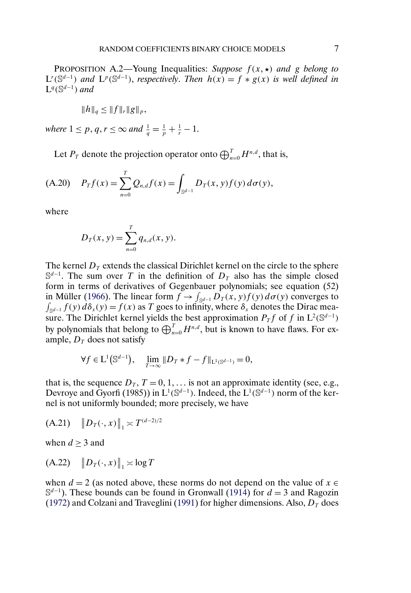<span id="page-6-0"></span>PROPOSITION A.2—Young Inequalities: *Suppose*  $f(x, \star)$  and g belong to  $L^r(\mathbb{S}^{d-1})$  and  $L^p(\mathbb{S}^{d-1})$ , *respectively. Then*  $h(x) = f * g(x)$  *is well defined in*  $\mathsf{L}^q(\mathbb{S}^{d-1})$  and

$$
||h||_q \leq ||f||_r ||g||_p,
$$

*where*  $1 \le p, q, r \le \infty$  *and*  $\frac{1}{q} = \frac{1}{p} + \frac{1}{r} - 1$ *.* 

Let  $P_T$  denote the projection operator onto  $\bigoplus_{n=0}^{T} H^{n,d}$ , that is,

(A.20) 
$$
P_T f(x) = \sum_{n=0}^T Q_{n,d} f(x) = \int_{\mathbb{S}^{d-1}} D_T(x, y) f(y) d\sigma(y),
$$

where

$$
D_T(x, y) = \sum_{n=0}^{T} q_{n,d}(x, y).
$$

The kernel  $D<sub>T</sub>$  extends the classical Dirichlet kernel on the circle to the sphere  $\mathbb{S}^{d-1}$ . The sum over T in the definition of  $D_T$  also has the simple closed form in terms of derivatives of Gegenbauer polynomials; see equation (52) in Müller [\(1966\)](#page-29-0). The linear form  $f \to \int_{\mathbb{S}^{d-1}} D_T(x, y) f(y) d\sigma(y)$  converges to  $\int_{\mathbb{S}^{d-1}} f(y) d\delta_x(y) = f(x)$  as T goes to infinity, where  $\delta_x$  denotes the Dirac measure. The Dirichlet kernel yields the best approximation  $P_T f$  of f in  $L^2(\mathbb{S}^{d-1})$ by polynomials that belong to  $\bigoplus_{n=0}^{T} H^{n,d}$ , but is known to have flaws. For example,  $D_T$  does not satisfy

$$
\forall f \in L^{1}(\mathbb{S}^{d-1}), \quad \lim_{T \to \infty} ||D_{T} * f - f||_{L^{1}(\mathbb{S}^{d-1})} = 0,
$$

that is, the sequence  $D_T$ ,  $T = 0, 1, \ldots$  is not an approximate identity (see, e.g., Devroye and Gyorfi (1985)) in  $L^1(\mathbb{S}^{d-1})$ . Indeed, the  $L^1(\mathbb{S}^{d-1})$  norm of the kernel is not uniformly bounded; more precisely, we have

$$
(A.21) \quad ||D_T(\cdot, x)||_1 \asymp T^{(d-2)/2}
$$

when  $d \geq 3$  and

$$
(A.22) \quad ||D_T(\cdot, x)||_1 \asymp \log T
$$

when  $d = 2$  (as noted above, these norms do not depend on the value of  $x \in$  $\mathbb{S}^{d-1}$ ). These bounds can be found in Gronwall [\(1914\)](#page-29-0) for  $d = 3$  and Ragozin [\(1972\)](#page-29-0) and Colzani and Traveglini [\(1991\)](#page-29-0) for higher dimensions. Also,  $D<sub>T</sub>$  does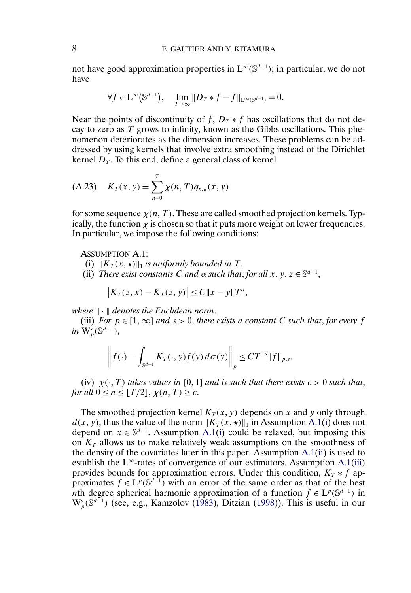<span id="page-7-0"></span>not have good approximation properties in  $L^{\infty}(\mathbb{S}^{d-1})$ ; in particular, we do not have

$$
\forall f\in\mathrm{L}^\infty\big(\mathbb{S}^{d-1}\big),\quad \lim_{T\to\infty}\|D_T*f-f\|_{\mathrm{L}^\infty(\mathbb{S}^{d-1})}=0.
$$

Near the points of discontinuity of f,  $D_T * f$  has oscillations that do not decay to zero as  $T$  grows to infinity, known as the Gibbs oscillations. This phenomenon deteriorates as the dimension increases. These problems can be addressed by using kernels that involve extra smoothing instead of the Dirichlet kernel  $D<sub>T</sub>$ . To this end, define a general class of kernel

(A.23) 
$$
K_T(x, y) = \sum_{n=0}^{T} \chi(n, T) q_{n,d}(x, y)
$$

for some sequence  $\chi(n, T)$ . These are called smoothed projection kernels. Typically, the function  $\chi$  is chosen so that it puts more weight on lower frequencies. In particular, we impose the following conditions:

ASSUMPTION A.1:

- (i)  $||K_T(x, \star)||_1$  *is uniformly bounded in* T.
- (ii) *There exist constants C and*  $\alpha$  *such that, for all*  $x, y, z \in \mathbb{S}^{d-1}$ *,*

$$
|K_T(z,x)-K_T(z,y)|\leq C||x-y||T^{\alpha},
$$

*where*  $\|\cdot\|$  *denotes the Euclidean norm.* 

(iii) *For*  $p \in [1, \infty]$  *and*  $s > 0$ *, there exists a constant C such that, for every f* in  $\dot{\mathrm{W}}_p^{\scriptscriptstyle S}(\mathbb{S}^{d-1}),$ 

$$
\left\|f(\cdot)-\int_{\mathbb{S}^{d-1}}K_T(\cdot,y)f(y)\,d\sigma(y)\right\|_p\leq CT^{-s}\|f\|_{p,s}.
$$

(iv)  $\chi(\cdot, T)$  *takes values in* [0, 1] *and is such that there exists*  $c > 0$  *such that*, *for all*  $0 \le n \le \lfloor T/2 \rfloor$ ,  $\chi(n, T) \ge c$ .

The smoothed projection kernel  $K_T(x, y)$  depends on x and y only through  $d(x, y)$ ; thus the value of the norm  $||K_T(x, \star)||_1$  in Assumption A.1(i) does not depend on  $x \in \mathbb{S}^{d-1}$ . Assumption A.1(i) could be relaxed, but imposing this on  $K<sub>T</sub>$  allows us to make relatively weak assumptions on the smoothness of the density of the covariates later in this paper. Assumption A.1(ii) is used to establish the L<sup>∞</sup>-rates of convergence of our estimators. Assumption A.1(iii) provides bounds for approximation errors. Under this condition,  $K_T * f$  approximates  $f \in L^p(\mathbb{S}^{d-1})$  with an error of the same order as that of the best nth degree spherical harmonic approximation of a function  $f \in L^p(\mathbb{S}^{d-1})$  in  $W_p^s(\mathbb{S}^{d-1})$  (see, e.g., Kamzolov [\(1983\)](#page-29-0), Ditzian [\(1998\)](#page-29-0)). This is useful in our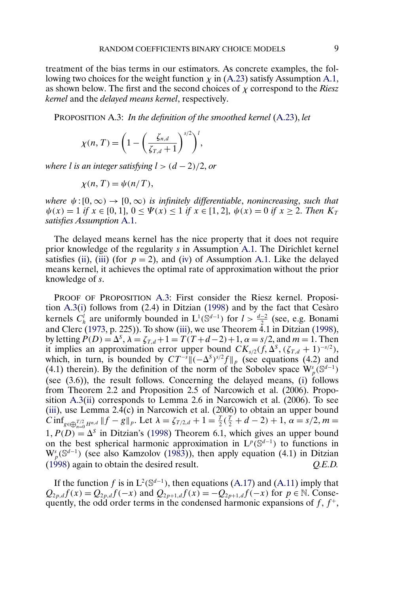<span id="page-8-0"></span>treatment of the bias terms in our estimators. As concrete examples, the following two choices for the weight function  $\chi$  in [\(A.23\)](#page-7-0) satisfy Assumption [A.1,](#page-7-0) as shown below. The first and the second choices of χ correspond to the *Riesz kernel* and the *delayed means kernel*, respectively.

PROPOSITION A.3: *In the definition of the smoothed kernel* [\(A.23\)](#page-7-0), *let*

$$
\chi(n,T) = \left(1 - \left(\frac{\zeta_{n,d}}{\zeta_{T,d}+1}\right)^{s/2}\right)^l,
$$

*where l is an integer satisfying*  $l > (d - 2)/2$ , *or* 

$$
\chi(n,T) = \psi(n/T),
$$

*where*  $\psi$ : [0,  $\infty$ )  $\rightarrow$  [0,  $\infty$ ) *is infinitely differentiable, nonincreasing, such that*  $\psi(x) = 1$  *if*  $x \in [0, 1]$ ,  $0 \le \Psi(x) \le 1$  *if*  $x \in [1, 2]$ ,  $\psi(x) = 0$  *if*  $x \ge 2$ . *Then*  $K_T$ *satisfies Assumption* [A.1.](#page-7-0)

The delayed means kernel has the nice property that it does not require prior knowledge of the regularity s in Assumption [A.1.](#page-7-0) The Dirichlet kernel satisfies [\(ii\)](#page-7-0), [\(iii\)](#page-7-0) (for  $p = 2$ ), and [\(iv\)](#page-7-0) of Assumption [A.1.](#page-7-0) Like the delayed means kernel, it achieves the optimal rate of approximation without the prior knowledge of s.

PROOF OF PROPOSITION A.3: First consider the Riesz kernel. Proposition A.3[\(i\)](#page-7-0) follows from (2.4) in Ditzian [\(1998\)](#page-29-0) and by the fact that Cesàro kernels  $C_h^l$  are uniformly bounded in  $L^1(\mathbb{S}^{d-1})$  for  $l > \frac{d-2}{2}$  (see, e.g. Bonami and Clerc [\(1973,](#page-29-0) p. 225)). To show [\(iii\)](#page-7-0), we use Theorem  $4.1$  in Ditzian [\(1998\)](#page-29-0), by letting  $\hat{P}(D) = \Delta^{s}$ ,  $\lambda = \zeta_{T,d} + 1 = T(T + d - 2) + 1$ ,  $\alpha = s/2$ , and  $m = 1$ . Then it implies an approximation error upper bound  $CK_{s/2}(f, \Delta^S, (\zeta_{T,d} + 1)^{-s/2}),$ which, in turn, is bounded by  $CT^{-s}\|(-\Delta^s)^{s/2}f\|_p$  (see equations (4.2) and (4.1) therein). By the definition of the norm of the Sobolev space  $\mathbf{W}_{p}^{s}(\mathbb{S}^{d-1})$ (see (3.6)), the result follows. Concerning the delayed means, [\(i\)](#page-7-0) follows from Theorem 2.2 and Proposition 2.5 of Narcowich et al. (2006). Proposition A.3[\(ii\)](#page-7-0) corresponds to Lemma 2.6 in Narcowich et al. (2006). To see [\(iii\)](#page-7-0), use Lemma 2.4(c) in Narcowich et al. (2006) to obtain an upper bound  $C \inf_{g \in \bigoplus_{n=0}^{T/2} H^{n,d}} \|f - g\|_p$ . Let  $\lambda = \zeta_{T/2,d} + 1 = \frac{T}{2}(\frac{T}{2} + d - 2) + 1$ ,  $\alpha = s/2$ ,  $m =$  $1, P(D) = \Delta^{s}$  in Ditzian's [\(1998\)](#page-29-0) Theorem 6.1, which gives an upper bound on the best spherical harmonic approximation in  $L^p(\mathbb{S}^{d-1})$  to functions in  $W_p^s(\mathbb{S}^{d-1})$  (see also Kamzolov [\(1983\)](#page-29-0)), then apply equation (4.1) in Ditzian [\(1998\)](#page-29-0) again to obtain the desired result. *Q.E.D.*

If the function f is in  $L^2(\mathbb{S}^{d-1})$ , then equations [\(A.17\)](#page-4-0) and [\(A.11\)](#page-2-0) imply that  $Q_{2p,d} f(x) = Q_{2p,d} f(-x)$  and  $Q_{2p+1,d} f(x) = -Q_{2p+1,d} f(-x)$  for  $p \in \mathbb{N}$ . Consequently, the odd order terms in the condensed harmonic expansions of  $f, f^+$ ,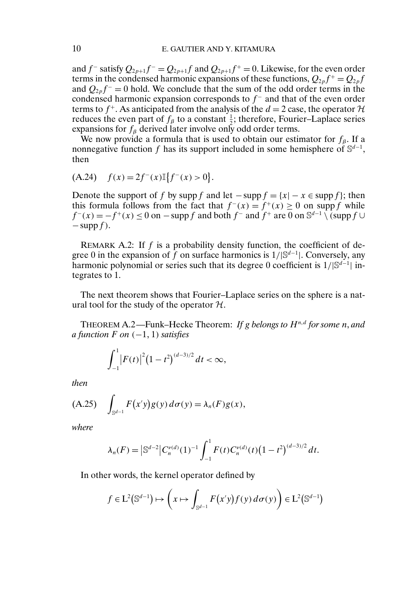and f<sup>-</sup> satisfy  $Q_{2p+1}f = Q_{2p+1}f$  and  $Q_{2p+1}f^+ = 0$ . Likewise, for the even order terms in the condensed harmonic expansions of these functions,  $Q_{2p}f^{+} = Q_{2p}f$ and  $Q_{2p}f^-=0$  hold. We conclude that the sum of the odd order terms in the condensed harmonic expansion corresponds to  $f<sup>-</sup>$  and that of the even order terms to  $f^+$ . As anticipated from the analysis of the  $d = 2$  case, the operator  $H$ reduces the even part of  $f_\beta$  to a constant  $\frac{1}{2}$ ; therefore, Fourier–Laplace series expansions for  $f_\beta$  derived later involve only odd order terms.

We now provide a formula that is used to obtain our estimator for  $f_8$ . If a nonnegative function f has its support included in some hemisphere of  $\mathbb{S}^{d-1}$ , then

$$
(A.24) \quad f(x) = 2f^-(x) \mathbb{I} \{ f^-(x) > 0 \}.
$$

Denote the support of f by supp f and let  $-\text{supp } f = \{x | -x \in \text{supp } f\}$ ; then this formula follows from the fact that  $f^-(x) = f^+(x) \ge 0$  on supp f while  $f^-(x) = -f^+(x) \le 0$  on  $-\text{supp } f$  and both  $f^-$  and  $f^+$  are 0 on  $\mathbb{S}^{d-1} \setminus (\text{supp } f \cup$  $-\sup p f$ ).

REMARK A.2: If  $f$  is a probability density function, the coefficient of degree 0 in the expansion of f on surface harmonics is  $1/|\mathbb{S}^{d-1}|$ . Conversely, any harmonic polynomial or series such that its degree 0 coefficient is  $1/|\mathbb{S}^{d-1}|$  integrates to 1.

The next theorem shows that Fourier–Laplace series on the sphere is a natural tool for the study of the operator  $H$ .

THEOREM A.2—Funk–Hecke Theorem: *If g belongs to*  $H^{n,d}$  for some *n*, and *a function*  $F$  *on*  $(-1, 1)$  *satisfies* 

$$
\int_{-1}^1 \left| F(t) \right|^2 (1-t^2)^{(d-3)/2} dt < \infty,
$$

*then*

$$
(A.25) \quad \int_{\mathbb{S}^{d-1}} F(x'y)g(y) d\sigma(y) = \lambda_n(F)g(x),
$$

*where*

$$
\lambda_n(F) = \left| \mathbb{S}^{d-2} \right| C_n^{\nu(d)} (1)^{-1} \int_{-1}^1 F(t) C_n^{\nu(d)} (t) \left( 1 - t^2 \right)^{(d-3)/2} dt.
$$

In other words, the kernel operator defined by

$$
f \in L^{2}(\mathbb{S}^{d-1}) \mapsto \left(x \mapsto \int_{\mathbb{S}^{d-1}} F(x'y)f(y) d\sigma(y)\right) \in L^{2}(\mathbb{S}^{d-1})
$$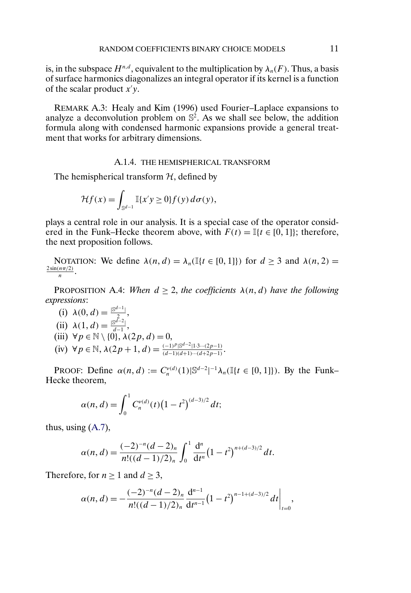<span id="page-10-0"></span>is, in the subspace  $H^{n,d}$ , equivalent to the multiplication by  $\lambda_n(F)$ . Thus, a basis of surface harmonics diagonalizes an integral operator if its kernel is a function of the scalar product  $x'y$ .

REMARK A.3: Healy and Kim (1996) used Fourier–Laplace expansions to analyze a deconvolution problem on  $\mathbb{S}^2$ . As we shall see below, the addition formula along with condensed harmonic expansions provide a general treatment that works for arbitrary dimensions.

### A.1.4. THE HEMISPHERICAL TRANSFORM

The hemispherical transform  $H$ , defined by

$$
\mathcal{H}f(x) = \int_{\mathbb{S}^{d-1}} \mathbb{I}\{x'y \ge 0\} f(y) d\sigma(y),
$$

plays a central role in our analysis. It is a special case of the operator considered in the Funk–Hecke theorem above, with  $F(t) = \mathbb{I}\{t \in [0, 1]\}$ ; therefore, the next proposition follows.

NOTATION: We define  $\lambda(n, d) = \lambda_n(\mathbb{I}\{t \in [0, 1]\})$  for  $d \geq 3$  and  $\lambda(n, 2) =$  $\frac{2\sin(n\pi/2)}{n}$ .

PROPOSITION A.4: *When*  $d \geq 2$ , *the coefficients*  $\lambda(n, d)$  *have the following expressions*:

(i)  $\lambda(0, d) = \frac{1}{2} \left| \frac{d^{d-1}}{2} \right|$ (ii)  $\lambda(1, d) = \frac{|\mathbb{S}^{d-2}|}{d-1},$ (iii)  $\forall p \in \mathbb{N} \setminus \{0\}, \lambda(2p, d) = 0,$ (iv)  $\forall p \in \mathbb{N}, \lambda(2p+1, d) = \frac{(-1)^p |\mathbb{S}^{d-2} | 1 \cdot 3 \cdots (2p-1)}{(d-1)(d+1)\cdots(d+2p-1)}.$ 

PROOF: Define  $\alpha(n, d) := C_n^{\nu(d)}(1) \mathbb{S}^{d-2}$  |  $^{-1}\lambda_n(\mathbb{I}\{t \in [0, 1]\})$ . By the Funk-Hecke theorem,

$$
\alpha(n, d) = \int_0^1 C_n^{\nu(d)}(t) (1-t^2)^{(d-3)/2} dt;
$$

thus, using [\(A.7\)](#page-2-0),

$$
\alpha(n, d) = \frac{(-2)^{-n} (d-2)_n}{n! ((d-1)/2)_n} \int_0^1 \frac{d^n}{dt^n} (1-t^2)^{n+(d-3)/2} dt.
$$

Therefore, for  $n \ge 1$  and  $d \ge 3$ ,

$$
\alpha(n, d) = -\frac{(-2)^{-n} (d-2)_n}{n! ((d-1)/2)_n} \frac{d^{n-1}}{dt^{n-1}} (1-t^2)^{n-1+(d-3)/2} dt \Big|_{t=0},
$$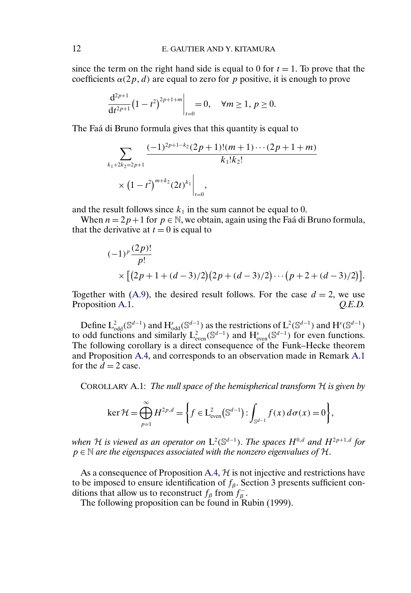<span id="page-11-0"></span>since the term on the right hand side is equal to 0 for  $t = 1$ . To prove that the coefficients  $\alpha(2p, d)$  are equal to zero for p positive, it is enough to prove

$$
\left. \frac{d^{2p+1}}{dt^{2p+1}} (1-t^2)^{2p+1+m} \right|_{t=0} = 0, \quad \forall m \ge 1, p \ge 0.
$$

The Faá di Bruno formula gives that this quantity is equal to

$$
\sum_{k_1+2k_2=2p+1} \frac{(-1)^{2p+1-k_2}(2p+1)!(m+1)\cdots(2p+1+m)}{k_1!k_2!}
$$
  
 
$$
\times (1-t^2)^{m+k_2}(2t)^{k_1}\Big|_{t=0},
$$

and the result follows since  $k_1$  in the sum cannot be equal to 0.

When  $n = 2p + 1$  for  $p \in \mathbb{N}$ , we obtain, again using the Faá di Bruno formula, that the derivative at  $t = 0$  is equal to

$$
(-1)^p \frac{(2p)!}{p!}
$$
  
 
$$
\times \left[ (2p+1+(d-3)/2)(2p+(d-3)/2) \cdots (p+2+(d-3)/2) \right].
$$

Together with [\(A.9\)](#page-2-0), the desired result follows. For the case  $d = 2$ , we use Proposition [A.1.](#page-1-0) *Q.E.D.* 

Define  $L^2_{odd}(\mathbb{S}^{d-1})$  and  $H^s_{odd}(\mathbb{S}^{d-1})$  as the restrictions of  $L^2(\mathbb{S}^{d-1})$  and  $H^s(\mathbb{S}^{d-1})$ to odd functions and similarly  $L^2_{\text{even}}(\mathbb{S}^{d-1})$  and  $H^s_{\text{even}}(\mathbb{S}^{d-1})$  for even functions. The following corollary is a direct consequence of the Funk–Hecke theorem and Proposition [A.4,](#page-10-0) and corresponds to an observation made in Remark [A.1](#page-1-0) for the  $d = 2$  case.

COROLLARY A.1: *The null space of the hemispherical transform* H *is given by*

$$
\ker \mathcal{H} = \bigoplus_{p=1}^{\infty} H^{2p,d} = \left\{ f \in L^2_{\text{even}}(\mathbb{S}^{d-1}) : \int_{\mathbb{S}^{d-1}} f(x) d\sigma(x) = 0 \right\},\
$$

*when* H is viewed as an operator on  $L^2(\mathbb{S}^{d-1})$ . The spaces  $H^{0,d}$  and  $H^{2p+1,d}$  for <sup>p</sup> <sup>∈</sup> <sup>N</sup> *are the eigenspaces associated with the nonzero eigenvalues of* <sup>H</sup>.

As a consequence of Proposition [A.4,](#page-10-0)  $H$  is not injective and restrictions have to be imposed to ensure identification of  $f_\beta$ . Section 3 presents sufficient conditions that allow us to reconstruct  $f_\beta$  from  $f_\beta^-$ .

The following proposition can be found in Rubin (1999).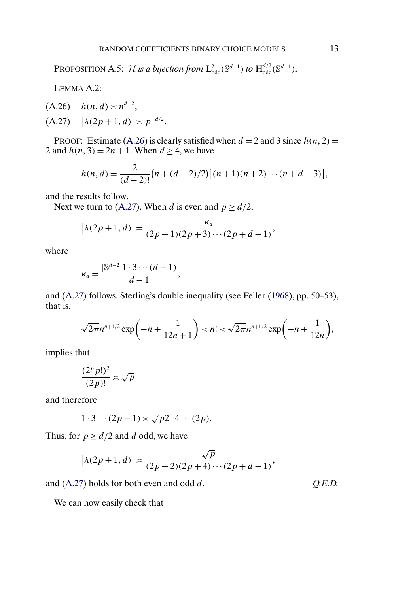<span id="page-12-0"></span>PROPOSITION A.5: *H* is a bijection from  $L^2_{odd}(\mathbb{S}^{d-1})$  to  $H^{d/2}_{odd}(\mathbb{S}^{d-1})$ .

LEMMA A.2:

 $h(A.26)$   $h(n,d) \asymp n^{d-2}$ ,  $(A.27)$   $\left|\lambda(2p+1, d)\right| \asymp p^{-d/2}.$ 

PROOF: Estimate (A.26) is clearly satisfied when  $d = 2$  and 3 since  $h(n, 2) =$ 2 and  $h(n, 3) = 2n + 1$ . When  $d \ge 4$ , we have

$$
h(n, d) = \frac{2}{(d-2)!} \big(n + (d-2)/2\big) \big[(n+1)(n+2)\cdots(n+d-3)\big],
$$

and the results follow.

Next we turn to (A.27). When d is even and  $p \ge d/2$ ,

$$
|\lambda(2p+1, d)| = \frac{\kappa_d}{(2p+1)(2p+3)\cdots(2p+d-1)},
$$

where

$$
\kappa_d = \frac{|\mathbb{S}^{d-2}|1 \cdot 3 \cdots (d-1)}{d-1},
$$

and (A.27) follows. Sterling's double inequality (see Feller [\(1968\)](#page-29-0), pp. 50–53), that is,

$$
\sqrt{2\pi}n^{n+1/2}\exp\biggl(-n+\frac{1}{12n+1}\biggr) < n! < \sqrt{2\pi}n^{n+1/2}\exp\biggl(-n+\frac{1}{12n}\biggr),
$$

implies that

$$
\frac{(2^p p!)^2}{(2p)!} \asymp \sqrt{p}
$$

and therefore

$$
1 \cdot 3 \cdots (2p-1) \asymp \sqrt{p} 2 \cdot 4 \cdots (2p).
$$

Thus, for  $p \ge d/2$  and d odd, we have

$$
|\lambda(2p+1, d)| \asymp \frac{\sqrt{p}}{(2p+2)(2p+4)\cdots(2p+d-1)},
$$

and (A.27) holds for both even and odd d. *Q.E.D.*

We can now easily check that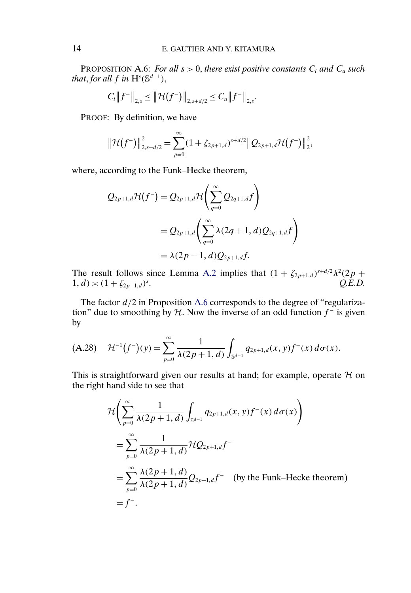PROPOSITION A.6: *For all*  $s > 0$ , *there exist positive constants*  $C_l$  *and*  $C_u$  *such that, for all*  $f$  *in*  $H^s(\mathbb{S}^{d-1})$ *,* 

$$
C_{l}||f^{-}||_{2,s} \leq ||\mathcal{H}(f^{-})||_{2,s+d/2} \leq C_{u}||f^{-}||_{2,s}.
$$

PROOF: By definition, we have

 $\overline{a}$ 

$$
\|\mathcal{H}(f^{-})\|_{2,s+d/2}^{2} = \sum_{p=0}^{\infty} (1+\zeta_{2p+1,d})^{s+d/2} \|Q_{2p+1,d}\mathcal{H}(f^{-})\|_{2}^{2},
$$

where, according to the Funk–Hecke theorem,

$$
Q_{2p+1,d} \mathcal{H}(f^{-}) = Q_{2p+1,d} \mathcal{H}\left(\sum_{q=0}^{\infty} Q_{2q+1,d} f\right)
$$
  
=  $Q_{2p+1,d}\left(\sum_{q=0}^{\infty} \lambda(2q+1,d) Q_{2q+1,d} f\right)$   
=  $\lambda(2p+1,d) Q_{2p+1,d} f.$ 

The result follows since Lemma [A.2](#page-12-0) implies that  $(1 + \zeta_{2p+1,d})^{s+d/2} \lambda^2 (2p +$  $1, d) \asymp (1 + \zeta_{2p+1,d})^s.$ . *Q.E.D.*

The factor  $d/2$  in Proposition A.6 corresponds to the degree of "regularization" due to smoothing by H. Now the inverse of an odd function  $f^-$  is given by

$$
(A.28) \quad \mathcal{H}^{-1}(f^{-})(y) = \sum_{p=0}^{\infty} \frac{1}{\lambda(2p+1, d)} \int_{\mathbb{S}^{d-1}} q_{2p+1, d}(x, y) f^{-}(x) d\sigma(x).
$$

This is straightforward given our results at hand; for example, operate  $H$  on the right hand side to see that

$$
\mathcal{H}\left(\sum_{p=0}^{\infty} \frac{1}{\lambda(2p+1, d)} \int_{\mathbb{S}^{d-1}} q_{2p+1, d}(x, y) f^{-}(x) d\sigma(x)\right)
$$
  
= 
$$
\sum_{p=0}^{\infty} \frac{1}{\lambda(2p+1, d)} \mathcal{H} Q_{2p+1, d} f^{-}
$$
  
= 
$$
\sum_{p=0}^{\infty} \frac{\lambda(2p+1, d)}{\lambda(2p+1, d)} Q_{2p+1, d} f^{-}
$$
 (by the Funk–Hecke theorem)  
= 
$$
f^{-}.
$$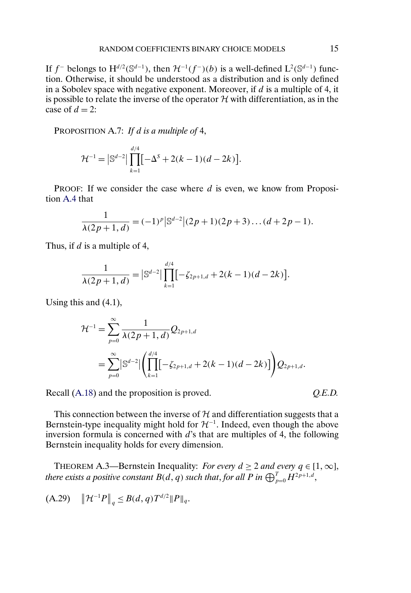<span id="page-14-0"></span>If  $f^-$  belongs to  $H^{d/2}(\mathbb{S}^{d-1})$ , then  $\mathcal{H}^{-1}(f^-)(b)$  is a well-defined  $L^2(\mathbb{S}^{d-1})$  function. Otherwise, it should be understood as a distribution and is only defined in a Sobolev space with negative exponent. Moreover, if  $d$  is a multiple of 4, it is possible to relate the inverse of the operator  $H$  with differentiation, as in the case of  $d = 2$ :

PROPOSITION A.7: *If* d *is a multiple of* 4,

$$
\mathcal{H}^{-1} = \left| \mathbb{S}^{d-2} \right| \prod_{k=1}^{d/4} \left[ -\Delta^S + 2(k-1)(d-2k) \right].
$$

PROOF: If we consider the case where d is even, we know from Proposition [A.4](#page-10-0) that

$$
\frac{1}{\lambda(2p+1,d)} = (-1)^p |S^{d-2}|(2p+1)(2p+3)\dots(d+2p-1).
$$

Thus, if  $d$  is a multiple of 4,

$$
\frac{1}{\lambda(2p+1, d)} = |\mathbb{S}^{d-2}| \prod_{k=1}^{d/4} [-\zeta_{2p+1,d} + 2(k-1)(d-2k)].
$$

Using this and (4.1),

$$
\mathcal{H}^{-1} = \sum_{p=0}^{\infty} \frac{1}{\lambda(2p+1, d)} Q_{2p+1,d}
$$
  
= 
$$
\sum_{p=0}^{\infty} |\mathbb{S}^{d-2}| \left( \prod_{k=1}^{d/4} [-\zeta_{2p+1,d} + 2(k-1)(d-2k)] \right) Q_{2p+1,d}.
$$

Recall [\(A.18\)](#page-5-0) and the proposition is proved.  $Q.E.D.$ 

This connection between the inverse of  $H$  and differentiation suggests that a Bernstein-type inequality might hold for  $\mathcal{H}^{-1}$ . Indeed, even though the above inversion formula is concerned with  $d$ 's that are multiples of 4, the following Bernstein inequality holds for every dimension.

THEOREM A.3—Bernstein Inequality: *For every*  $d \geq 2$  *and every*  $q \in [1, \infty]$ , *there exists a positive constant*  $B(d,q)$  *such that, for all P in*  $\bigoplus_{p=0}^T H^{2p+1,d},$ 

$$
(A.29) \quad \left\|\mathcal{H}^{-1}P\right\|_q \leq B(d,q)T^{d/2} \|P\|_q.
$$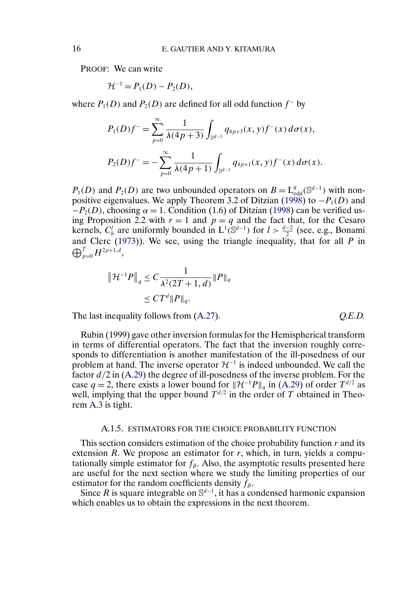PROOF: We can write

$$
H^{-1} = P_1(D) - P_2(D),
$$

where  $P_1(D)$  and  $P_2(D)$  are defined for all odd function  $f^-$  by

$$
P_1(D)f^{-} = \sum_{p=0}^{\infty} \frac{1}{\lambda(4p+3)} \int_{\mathbb{S}^{d-1}} q_{4p+3}(x, y) f^{-}(x) d\sigma(x),
$$
  

$$
P_2(D)f^{-} = -\sum_{p=0}^{\infty} \frac{1}{\lambda(4p+1)} \int_{\mathbb{S}^{d-1}} q_{4p+1}(x, y) f^{-}(x) d\sigma(x).
$$

 $P_1(D)$  and  $P_2(D)$  are two unbounded operators on  $B = L_{odd}^q(\mathbb{S}^{d-1})$  with non-positive eigenvalues. We apply Theorem 3.2 of Ditzian [\(1998\)](#page-29-0) to  $-P_1(D)$  and  $-P_2(D)$ , choosing  $\alpha = 1$ . Condition (1.6) of Ditzian [\(1998\)](#page-29-0) can be verified using Proposition 2.2 with  $r = 1$  and  $p = q$  and the fact that, for the Cesaro kernels,  $C_h^l$  are uniformly bounded in  $L^1(\mathbb{S}^{d-1})$  for  $l > \frac{d-2}{2}$  (see, e.g., Bonami and Clerc ([1973\)](#page-29-0)). We see, using the triangle inequality, that for all  $P$  in  $\bigoplus_{p=0}^T H^{2p+1,d},$ 

$$
\|\mathcal{H}^{-1}P\|_{q} \leq C \frac{1}{\lambda^2 (2T+1, d)} \|P\|_{q}
$$
  

$$
\leq C T^d \|P\|_{q}.
$$

The last inequality follows from  $(A.27)$ .  $Q.E.D.$ 

Rubin (1999) gave other inversion formulas for the Hemispherical transform in terms of differential operators. The fact that the inversion roughly corresponds to differentiation is another manifestation of the ill-posedness of our problem at hand. The inverse operator  $\mathcal{H}^{-1}$  is indeed unbounded. We call the factor  $d/2$  in [\(A.29\)](#page-14-0) the degree of ill-posedness of the inverse problem. For the case q = 2, there exists a lower bound for  $\|\mathcal{H}^{-1}P\|_q$  in [\(A.29\)](#page-14-0) of order  $T^{d/2}$  as well, implying that the upper bound  $T^{d/2}$  in the order of T obtained in Theorem [A.3](#page-14-0) is tight.

#### A.1.5. ESTIMATORS FOR THE CHOICE PROBABILITY FUNCTION

This section considers estimation of the choice probability function  $r$  and its extension  $R$ . We propose an estimator for  $r$ , which, in turn, yields a computationally simple estimator for  $f_8$ . Also, the asymptotic results presented here are useful for the next section where we study the limiting properties of our estimator for the random coefficients density  $f_8$ .

Since R is square integrable on  $\mathbb{S}^{d-1}$ , it has a condensed harmonic expansion which enables us to obtain the expressions in the next theorem.

<span id="page-15-0"></span>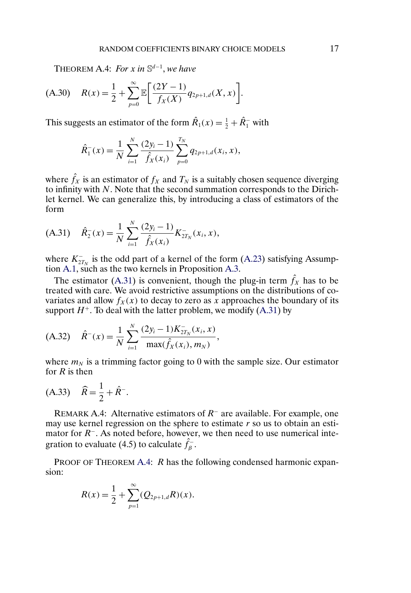THEOREM A.4: *For* x in  $\mathbb{S}^{d-1}$ , we have

$$
(A.30) \quad R(x) = \frac{1}{2} + \sum_{p=0}^{\infty} \mathbb{E} \bigg[ \frac{(2Y-1)}{f_X(X)} q_{2p+1,d}(X,x) \bigg].
$$

This suggests an estimator of the form  $\hat{R}_1(x) = \frac{1}{2} + \hat{R}_1^-$  with

$$
\hat{R}_1^-(x) = \frac{1}{N} \sum_{i=1}^N \frac{(2y_i - 1)}{\hat{f}_X(x_i)} \sum_{p=0}^{T_N} q_{2p+1,d}(x_i, x),
$$

where  $\hat{f}_X$  is an estimator of  $f_X$  and  $T_N$  is a suitably chosen sequence diverging to infinity with N. Note that the second summation corresponds to the Dirichlet kernel. We can generalize this, by introducing a class of estimators of the form

$$
(A.31) \quad \hat{R}_2^-(x) = \frac{1}{N} \sum_{i=1}^N \frac{(2y_i - 1)}{\hat{f}_X(x_i)} K_{2T_N}^-(x_i, x),
$$

where  $K_{2T_N}^-$  is the odd part of a kernel of the form [\(A.23\)](#page-7-0) satisfying Assumption [A.1,](#page-7-0) such as the two kernels in Proposition [A.3.](#page-8-0)

The estimator (A.31) is convenient, though the plug-in term  $\hat{f}_X$  has to be treated with care. We avoid restrictive assumptions on the distributions of covariates and allow  $f_X(x)$  to decay to zero as x approaches the boundary of its support  $H^+$ . To deal with the latter problem, we modify (A.31) by

$$
(A.32) \quad \hat{R}^{-}(x) = \frac{1}{N} \sum_{i=1}^{N} \frac{(2y_i - 1)K_{2T_N}^{-}(x_i, x)}{\max(\hat{f}_X(x_i), m_N)},
$$

where  $m_N$  is a trimming factor going to 0 with the sample size. Our estimator for  $R$  is then

$$
(A.33) \quad \widehat{R} = \frac{1}{2} + \widehat{R}^{-}.
$$

REMARK A.4: Alternative estimators of  $R^-$  are available. For example, one may use kernel regression on the sphere to estimate  $r$  so us to obtain an estimator for  $R^-$ . As noted before, however, we then need to use numerical integration to evaluate (4.5) to calculate  $\hat{f}_{\beta}^{-}$ .

PROOF OF THEOREM A.4: R has the following condensed harmonic expansion:

$$
R(x) = \frac{1}{2} + \sum_{p=1}^{\infty} (Q_{2p+1,d}R)(x).
$$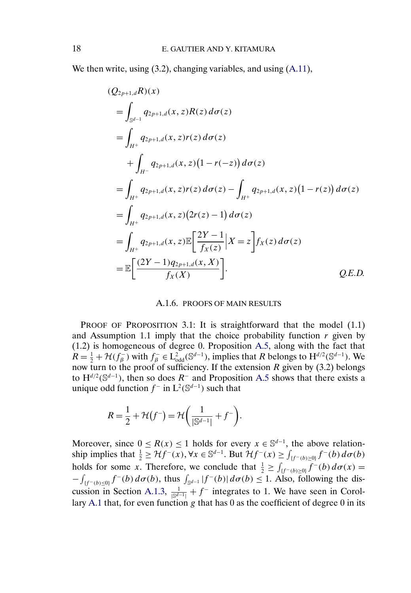We then write, using (3.2), changing variables, and using [\(A.11\)](#page-2-0),

$$
(Q_{2p+1,d}R)(x)
$$
  
=  $\int_{\mathbb{S}^{d-1}} q_{2p+1,d}(x, z)R(z) d\sigma(z)$   
=  $\int_{H^+} q_{2p+1,d}(x, z)r(z) d\sigma(z)$   
+  $\int_{H^-} q_{2p+1,d}(x, z)(1-r(-z)) d\sigma(z)$   
=  $\int_{H^+} q_{2p+1,d}(x, z)r(z) d\sigma(z) - \int_{H^+} q_{2p+1,d}(x, z)(1-r(z)) d\sigma(z)$   
=  $\int_{H^+} q_{2p+1,d}(x, z)(2r(z) - 1) d\sigma(z)$   
=  $\int_{H^+} q_{2p+1,d}(x, z) \mathbb{E} \left[ \frac{2Y - 1}{f_X(z)} |X = z \right] f_X(z) d\sigma(z)$   
=  $\mathbb{E} \left[ \frac{(2Y - 1)q_{2p+1,d}(x, X)}{f_X(X)} \right].$  Q.E.D.

### A.1.6. PROOFS OF MAIN RESULTS

PROOF OF PROPOSITION 3.1: It is straightforward that the model (1.1) and Assumption 1.1 imply that the choice probability function  $r$  given by (1.2) is homogeneous of degree 0. Proposition [A.5,](#page-12-0) along with the fact that  $R = \frac{1}{2} + \mathcal{H}(f_{\beta}^{-})$  with  $f_{\beta}^{-} \in L_{odd}^{2}(\mathbb{S}^{d-1})$ , implies that R belongs to  $H^{d/2}(\mathbb{S}^{d-1})$ . We now turn to the proof of sufficiency. If the extension R given by (3.2) belongs to  $H^{d/2}(\mathbb{S}^{d-1})$ , then so does  $R^-$  and Proposition [A.5](#page-12-0) shows that there exists a unique odd function  $f^-$  in  $L^2(\mathbb{S}^{d-1})$  such that

$$
R = \frac{1}{2} + \mathcal{H}(f^{-}) = \mathcal{H}\left(\frac{1}{|S^{d-1}|} + f^{-}\right).
$$

Moreover, since  $0 \le R(x) \le 1$  holds for every  $x \in \mathbb{S}^{d-1}$ , the above relationship implies that  $\frac{1}{2} \geq Hf^{-}(x)$ ,  $\forall x \in \mathbb{S}^{d-1}$ . But  $\mathcal{H}f^{-}(x) \geq \int_{\{f^{-}(b) \geq 0\}} f^{-}(b) d\sigma(b)$ holds for some x. Therefore, we conclude that  $\frac{1}{2} \geq \int_{\{f^-(b)\geq 0\}} \frac{f^-(b)}{f^-(b)} d\sigma(x) =$  $-\int_{\{f^-(b)\leq 0\}} f^-(b) d\sigma(b)$ , thus  $\int_{\mathbb{S}^{d-1}} |f^-(b)| d\sigma(b) \leq 1$ . Also, following the dis-cussion in Section [A.1.3,](#page-3-0)  $\frac{1}{\sqrt{S^{d-1}} + f^-}$  integrates to 1. We have seen in Corol-lary [A.1](#page-11-0) that, for even function  $g$  that has  $0$  as the coefficient of degree  $0$  in its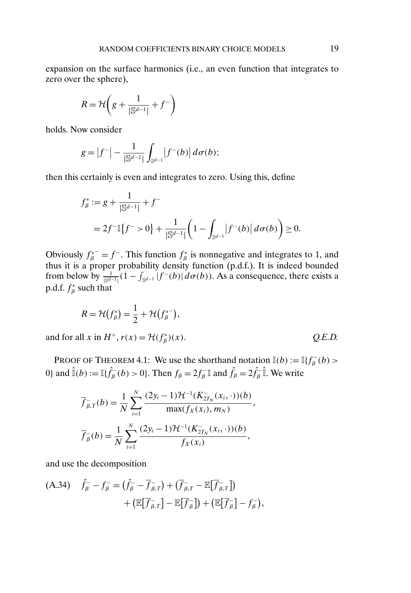expansion on the surface harmonics (i.e., an even function that integrates to zero over the sphere),

$$
R = \mathcal{H}\left(g + \frac{1}{|\mathbb{S}^{d-1}|} + f^{-}\right)
$$

holds. Now consider

$$
g = |f^{-}| - \frac{1}{|\mathbb{S}^{d-1}|} \int_{\mathbb{S}^{d-1}} |f^{-}(b)| d\sigma(b);
$$

then this certainly is even and integrates to zero. Using this, define

$$
f_{\beta}^* := g + \frac{1}{|\mathbb{S}^{d-1}|} + f^-
$$
  
=  $2f^{-1}[f^{-} > 0] + \frac{1}{|\mathbb{S}^{d-1}|} \left(1 - \int_{\mathbb{S}^{d-1}} |f^{-}(b)| d\sigma(b)\right) \ge 0.$ 

Obviously  $f_{\beta}^{*} = f^{-}$ . This function  $f_{\beta}^{*}$  is nonnegative and integrates to 1, and thus it is a proper probability density function (p.d.f.). It is indeed bounded from below by  $\frac{1}{|S^{d-1}|}(1 - \int_{S^{d-1}} |f^-(b)| d\sigma(b))$ . As a consequence, there exists a p.d.f.  $f^*_{\beta}$  such that

$$
R = \mathcal{H}(f_{\beta}^{*}) = \frac{1}{2} + \mathcal{H}(f_{\beta}^{*^{-}}),
$$

and for all x in  $H^+$ ,  $r(x) = \mathcal{H}(f^*_\beta)(x)$ .

PROOF OF THEOREM 4.1: We use the shorthand notation  $\mathbb{I}(b) := \mathbb{I}\lbrace f_{\beta}^{-}(b) >$ 0} and  $\hat{\mathbb{I}}(b) := \mathbb{I}\{\hat{f}_{\beta}^-(b) > 0\}$ . Then  $f_{\beta} = 2f_{\beta}^-\mathbb{I}$  and  $\hat{f}_{\beta} = 2\hat{f}_{\beta}^-\mathbb{I}$ . We write

$$
\overline{f}_{\beta,T}^{-}(b) = \frac{1}{N} \sum_{i=1}^{N} \frac{(2y_i - 1)\mathcal{H}^{-1}(K_{2T_N}^{-}(x_i, \cdot))(b)}{\max(f_X(x_i), m_N)},
$$
  

$$
\overline{f}_{\beta}^{-}(b) = \frac{1}{N} \sum_{i=1}^{N} \frac{(2y_i - 1)\mathcal{H}^{-1}(K_{2T_N}^{-}(x_i, \cdot))(b)}{f_X(x_i)},
$$

and use the decomposition

(A.34) 
$$
\hat{f}_{\beta}^- - f_{\beta}^- = (\hat{f}_{\beta}^- - \overline{f}_{\beta,T}^-) + (\overline{f}_{\beta,T}^- - \mathbb{E}[\overline{f}_{\beta,T}^-]) + (\mathbb{E}[\overline{f}_{\beta,T}^-] - \mathbb{E}[\overline{f}_{\beta}^-]) + (\mathbb{E}[\overline{f}_{\beta}^-] - f_{\beta}^-),
$$

 $Q.E.D.$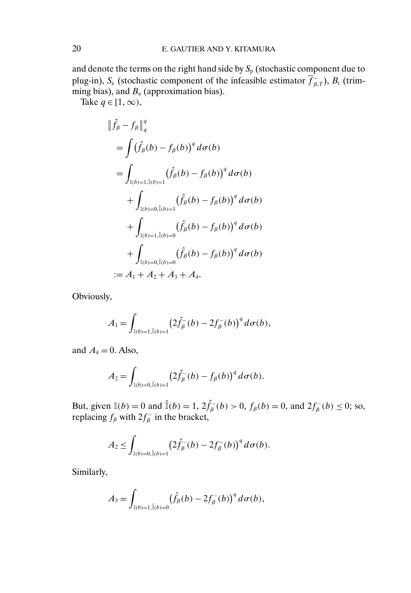and denote the terms on the right hand side by  $S_p$  (stochastic component due to plug-in), S<sub>e</sub> (stochastic component of the infeasible estimator  $\overline{f}_{\beta,T}$ ), B<sub>t</sub> (trimming bias), and  $B_a$  (approximation bias).

Take  $q \in [1, \infty)$ ,

$$
\|\hat{f}_{\beta} - f_{\beta}\|_{q}^{q}
$$
\n
$$
= \int (\hat{f}_{\beta}(b) - f_{\beta}(b))^{q} d\sigma(b)
$$
\n
$$
= \int_{\mathbb{I}(b)=1, \hat{\mathbb{I}}(b)=1} (\hat{f}_{\beta}(b) - f_{\beta}(b))^{q} d\sigma(b)
$$
\n
$$
+ \int_{\mathbb{I}(b)=0, \hat{\mathbb{I}}(b)=1} (\hat{f}_{\beta}(b) - f_{\beta}(b))^{q} d\sigma(b)
$$
\n
$$
+ \int_{\mathbb{I}(b)=1, \hat{\mathbb{I}}(b)=0} (\hat{f}_{\beta}(b) - f_{\beta}(b))^{q} d\sigma(b)
$$
\n
$$
+ \int_{\mathbb{I}(b)=0, \hat{\mathbb{I}}(b)=0} (\hat{f}_{\beta}(b) - f_{\beta}(b))^{q} d\sigma(b)
$$
\n
$$
:= A_{1} + A_{2} + A_{3} + A_{4}.
$$

Obviously,

$$
A_1 = \int_{\mathbb{I}(b)=1, \hat{\mathbb{I}}(b)=1} \left(2\hat{f}_{\beta}^-(b) - 2f_{\beta}^-(b)\right)^q d\sigma(b),
$$

and  $A_4 = 0$ . Also,

$$
A_2 = \int_{\mathbb{I}(b) = 0, \hat{\mathbb{I}}(b) = 1} \left( 2 \hat{f}_{\beta}^-(b) - f_{\beta}(b) \right)^q d\sigma(b).
$$

But, given  $\mathbb{I}(b) = 0$  and  $\hat{\mathbb{I}}(b) = 1$ ,  $2\hat{f}_{\beta}(b) > 0$ ,  $f_{\beta}(b) = 0$ , and  $2f_{\beta}(b) \le 0$ ; so, replacing  $f_\beta$  with  $2f_\beta^-$  in the bracket,

$$
A_2 \leq \int_{\mathbb{I}(b)=0,\hat{\mathbb{I}}(b)=1} \left(2\hat{f}^-_{\beta}(b) - 2f^-_{\beta}(b)\right)^q d\sigma(b).
$$

Similarly,

$$
A_3 = \int_{\mathbb{I}(b) = 1, \hat{\mathbb{I}}(b) = 0} (\hat{f}_{\beta}(b) - 2f_{\beta}^-(b))^q d\sigma(b),
$$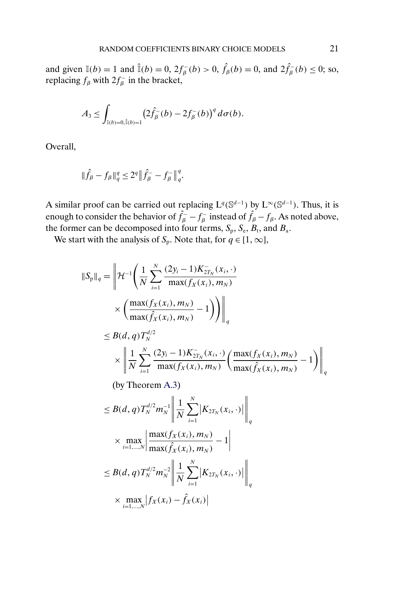and given  $\mathbb{I}(b) = 1$  and  $\hat{\mathbb{I}}(b) = 0$ ,  $2f_{\beta}^{-}(b) > 0$ ,  $\hat{f}_{\beta}(b) = 0$ , and  $2\hat{f}_{\beta}^{-}(b) \le 0$ ; so, replacing  $f_\beta$  with  $2f_\beta^-$  in the bracket,

$$
A_3 \leq \int_{\mathbb{I}(b)=0,\hat{\mathbb{I}}(b)=1} \left(2\hat{f}_{\beta}^-(b) - 2f_{\beta}^-(b)\right)^q d\sigma(b).
$$

Overall,

 $\parallel$ 

$$
\| \hat{f}_{\beta} - f_{\beta} \|_q^q \leq 2^q \big \| \hat{f}_{\beta}^- - f_{\beta}^- \big \|_q^q.
$$

A similar proof can be carried out replacing  $L^q(\mathbb{S}^{d-1})$  by  $L^{\infty}(\mathbb{S}^{d-1})$ . Thus, it is enough to consider the behavior of  $\hat{f}_{\beta} - f_{\beta}$  instead of  $\hat{f}_{\beta} - f_{\beta}$ . As noted above, the former can be decomposed into four terms,  $S_p$ ,  $S_e$ ,  $B_t$ , and  $B_a$ .

We start with the analysis of  $S_p$ . Note that, for  $q \in [1, \infty]$ ,

$$
S_{p}||_{q} = \left\| \mathcal{H}^{-1} \left( \frac{1}{N} \sum_{i=1}^{N} \frac{(2y_{i} - 1)K_{2T_{N}}^{-(x_{i}, \cdot)}}{\max(f_{X}(x_{i}), m_{N})} \times \left( \frac{\max(f_{X}(x_{i}), m_{N})}{\max(f_{X}(x_{i}), m_{N})} - 1 \right) \right) \right\|_{q}
$$
  
\n
$$
\leq B(d, q) T_{N}^{d/2}
$$
  
\n
$$
\times \left\| \frac{1}{N} \sum_{i=1}^{N} \frac{(2y_{i} - 1)K_{2T_{N}}^{-(x_{i}, \cdot)}}{\max(f_{X}(x_{i}), m_{N})} \left( \frac{\max(f_{X}(x_{i}), m_{N})}{\max(f_{X}(x_{i}), m_{N})} - 1 \right) \right\|_{q}
$$

(by Theorem [A.3\)](#page-14-0)

$$
\leq B(d,q)T_N^{d/2}m_N^{-1}\left\|\frac{1}{N}\sum_{i=1}^N|K_{2T_N}(x_i,\cdot)|\right\|_q
$$
  

$$
\times \max_{i=1,\dots,N}\left|\frac{\max(f_X(x_i),m_N)}{\max(\hat{f}_X(x_i),m_N)}-1\right|
$$
  

$$
\leq B(d,q)T_N^{d/2}m_N^{-2}\left\|\frac{1}{N}\sum_{i=1}^N|K_{2T_N}(x_i,\cdot)|\right\|_q
$$
  

$$
\times \max_{i=1,\dots,N}|f_X(x_i)-\hat{f}_X(x_i)|
$$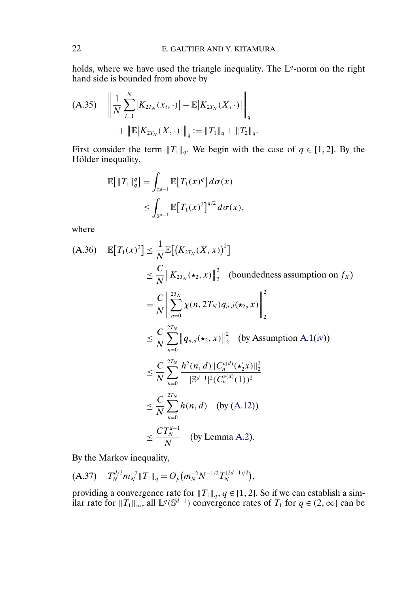<span id="page-21-0"></span>holds, where we have used the triangle inequality. The  $L<sup>q</sup>$ -norm on the right hand side is bounded from above by

$$
\begin{aligned} \text{(A.35)} \quad & \left\| \frac{1}{N} \sum_{i=1}^{N} \left| K_{2T_N}(x_i, \cdot) \right| - \mathbb{E} \left| K_{2T_N}(X, \cdot) \right| \right\|_q \\ &+ \left\| \mathbb{E} \left| K_{2T_N}(X, \cdot) \right| \right\|_q := \|T_1\|_q + \|T_2\|_q. \end{aligned}
$$

First consider the term  $||T_1||_q$ . We begin with the case of  $q \in [1, 2]$ . By the Hölder inequality,

$$
\mathbb{E}\big[\|T_1\|_q^q\big] = \int_{\mathbb{S}^{d-1}} \mathbb{E}\big[T_1(x)^q\big] d\sigma(x)
$$
  

$$
\leq \int_{\mathbb{S}^{d-1}} \mathbb{E}\big[T_1(x)^2\big]^{q/2} d\sigma(x),
$$

where

$$
\begin{aligned}\n\text{(A.36)} \quad & \mathbb{E}\big[T_1(x)^2\big] \leq \frac{1}{N} \mathbb{E}\big[\big(K_{2T_N}(X, x)\big)^2\big] \\
&\leq \frac{C}{N} \left\|K_{2T_N}(\star_2, x)\right\|_2^2 \quad \text{(boundedness assumption on } f_X) \\
&= \frac{C}{N} \left\|\sum_{n=0}^{2T_N} \chi(n, 2T_N) q_{n,d}(\star_2, x)\right\|_2^2 \\
&\leq \frac{C}{N} \sum_{n=0}^{2T_N} \left\|q_{n,d}(\star_2, x)\right\|_2^2 \quad \text{(by Assumption A.1(iv))} \\
&\leq \frac{C}{N} \sum_{n=0}^{2T_N} \frac{h^2(n, d) \left\|C_n^{\nu(d)}(\star_2' x)\right\|_2^2}{\left\|\mathbb{S}^{d-1}\right\|^2 (C_n^{\nu(d)}(1))^2} \\
&\leq \frac{C}{N} \sum_{n=0}^{2T_N} h(n, d) \quad \text{(by (A.12))} \\
&\leq \frac{CT_N^{d-1}}{N} \quad \text{(by Lemma A.2).}\n\end{aligned}
$$

By the Markov inequality,

$$
(A.37) \t T_N^{d/2} m_N^{-2} \|T_1\|_q = O_p(m_N^{-2} N^{-1/2} T_N^{(2d-1)/2}),
$$

providing a convergence rate for  $||T_1||_q$ ,  $q \in [1, 2]$ . So if we can establish a similar rate for  $||T_1||_{\infty}$ , all  $L^q(\mathbb{S}^{d-1})$  convergence rates of  $T_1$  for  $q \in (2,\infty]$  can be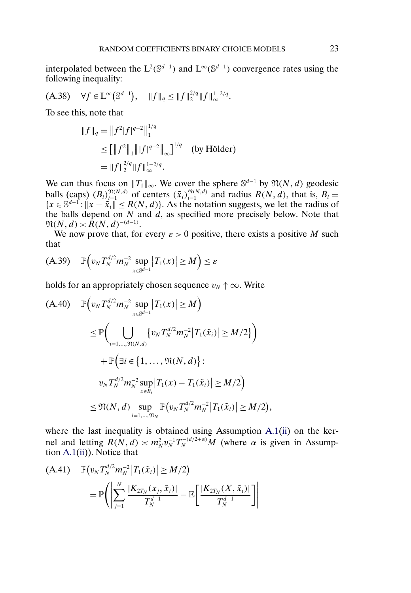<span id="page-22-0"></span>interpolated between the  $L^2(\mathbb{S}^{d-1})$  and  $L^{\infty}(\mathbb{S}^{d-1})$  convergence rates using the following inequality:

$$
(A.38) \quad \forall f \in L^{\infty}(\mathbb{S}^{d-1}), \quad \|f\|_{q} \le \|f\|_{2}^{2/q} \|f\|_{\infty}^{1-2/q}.
$$

To see this, note that

$$
||f||_q = ||f^2|f|^{q-2}||_1^{1/q}
$$
  
\n
$$
\leq [||f^2||_1||f|^{q-2}||_{\infty}]^{1/q} \text{ (by Hölder)}
$$
  
\n
$$
= ||f||_2^{2/q}||f||_{\infty}^{1-2/q}.
$$

We can thus focus on  $||T_1||_{\infty}$ . We cover the sphere  $\mathbb{S}^{d-1}$  by  $\mathfrak{N}(N, d)$  geodesic balls (caps)  $(B_i)_{i=1}^{\mathfrak{N}(N,d)}$  of centers  $(\tilde{x}_i)_{i=1}^{\mathfrak{N}(N,d)}$  and radius  $R(N,d)$ , that is,  $B_i =$  ${x \in \mathbb{S}^{d-1} : ||x - \tilde{x}_i|| \le R(N, d)}$ . As the notation suggests, we let the radius of the balls depend on N and  $\tilde{d}$ , as specified more precisely below. Note that  $\mathfrak{N}(N,d) \asymp R(N,d)^{-(d-1)}.$ 

We now prove that, for every  $\varepsilon > 0$  positive, there exists a positive M such that

$$
(A.39) \quad \mathbb{P}\left(v_N T_N^{d/2} m_N^{-2} \sup_{x \in \mathbb{S}^{d-1}} |T_1(x)| \ge M\right) \le \varepsilon
$$

holds for an appropriately chosen sequence  $v_N \uparrow \infty$ . Write

$$
\begin{split} \text{(A.40)} \quad & \mathbb{P}\Big(v_N T_N^{d/2} m_N^{-2} \sup_{x \in \mathbb{S}^{d-1}} \big| T_1(x) \big| \ge M\Big) \\ &\le \mathbb{P}\Big(\bigcup_{i=1,\dots,\mathfrak{N}(N,d)} \big\{v_N T_N^{d/2} m_N^{-2} \big| T_1(\tilde{x}_i) \big| \ge M/2\big\}\Big) \\ &+ \mathbb{P}\Big(\exists i \in \big\{1,\dots,\mathfrak{N}(N,d)\big\}: \\ &v_N T_N^{d/2} m_N^{-2} \sup_{x \in B_i} \big| T_1(x) - T_1(\tilde{x}_i) \big| \ge M/2\Big) \\ &\le \mathfrak{N}(N,d) \sup_{i=1,\dots,\mathfrak{N}_N} \mathbb{P}\big(v_N T_N^{d/2} m_N^{-2} \big| T_1(\tilde{x}_i) \big| \ge M/2\big), \end{split}
$$

where the last inequality is obtained using Assumption [A.1\(ii\)](#page-7-0) on the kernel and letting  $R(N, d) \asymp m_N^2 v_N^{-1} T_N^{-(d/2+\alpha)} M$  (where  $\alpha$  is given in Assumption [A.1\(ii\)](#page-7-0)). Notice that

(A.41) 
$$
\mathbb{P}(v_N T_N^{d/2} m_N^{-2} |T_1(\tilde{x}_i)| \ge M/2)
$$

$$
= \mathbb{P}\left(\left|\sum_{j=1}^N \frac{|K_{2T_N}(x_j, \tilde{x}_i)|}{T_N^{d-1}} - \mathbb{E}\left[\frac{|K_{2T_N}(X, \tilde{x}_i)|}{T_N^{d-1}}\right]\right|\right)
$$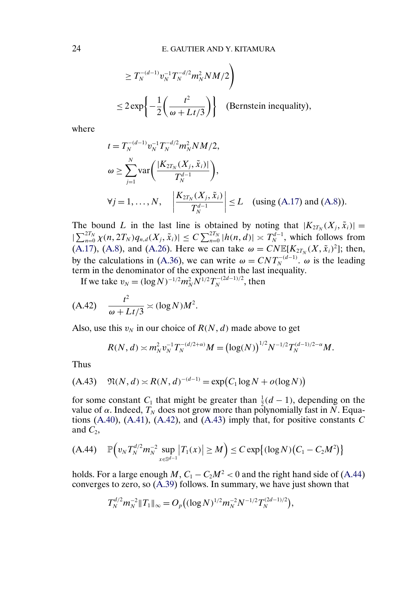<span id="page-23-0"></span>
$$
\geq T_N^{-(d-1)} v_N^{-1} T_N^{-d/2} m_N^2 N M/2
$$
  

$$
\leq 2 \exp \left\{ -\frac{1}{2} \left( \frac{t^2}{\omega + L t/3} \right) \right\} \quad \text{(Bernstein inequality)},
$$

where

$$
t = T_N^{-(d-1)} v_N^{-1} T_N^{-d/2} m_N^2 N M/2,
$$
  
\n
$$
\omega \ge \sum_{j=1}^N \text{var}\bigg(\frac{|K_{2T_N}(X_j, \tilde{x}_i)|}{T_N^{d-1}}\bigg),
$$
  
\n
$$
\forall j = 1, ..., N, \quad \left|\frac{K_{2T_N}(X_j, \tilde{x}_i)}{T_N^{d-1}}\right| \le L \quad \text{(using (A.17) and (A.8))}.
$$

The bound L in the last line is obtained by noting that  $|K_{2T_N}(X_i, \tilde{x}_i)| =$  $|\sum_{n=0}^{2T_N} \chi(n, 2T_N) q_{n,d}(X_j, \tilde{x}_i)| \leq C \sum_{n=0}^{2T_N} |h(n, d)| \asymp T_N^{d-1}$ , which follows from [\(A.17\)](#page-4-0), [\(A.8\)](#page-2-0), and [\(A.26\)](#page-12-0). Here we can take  $\omega = CNE[K_{2T_N}(X, \tilde{x}_i)^2]$ ; then, by the calculations in [\(A.36\)](#page-21-0), we can write  $\omega = CNT_N^{-(d-1)}$ .  $\omega$  is the leading term in the denominator of the exponent in the last inequality.

If we take  $v_N = (\log N)^{-1/2} m_N^2 N^{1/2} T_N^{-(2d-1)/2}$ , then

$$
(A.42) \quad \frac{t^2}{\omega + Lt/3} \asymp (\log N)M^2.
$$

Also, use this  $v_N$  in our choice of  $R(N, d)$  made above to get

$$
R(N, d) \asymp m_N^2 v_N^{-1} T_N^{-(d/2+\alpha)} M = \left(\log(N)\right)^{1/2} N^{-1/2} T_N^{(d-1)/2-\alpha} M.
$$

Thus

(A.43) 
$$
\mathfrak{N}(N, d) \asymp R(N, d)^{-(d-1)} = \exp(C_1 \log N + o(\log N))
$$

for some constant  $C_1$  that might be greater than  $\frac{1}{2}(d-1)$ , depending on the value of  $\alpha$ . Indeed,  $T_N$  does not grow more than polynomially fast in N. Equations  $(A.40)$ ,  $(A.41)$ ,  $(A.42)$ , and  $(A.43)$  imply that, for positive constants C and  $C_2$ ,

$$
(A.44) \quad \mathbb{P}\Big(v_N T_N^{d/2} m_N^{-2} \sup_{x \in \mathbb{S}^{d-1}} |T_1(x)| \ge M\Big) \le C \exp\big\{(\log N) \big(C_1 - C_2 M^2\big)\big\}
$$

holds. For a large enough M,  $C_1 - C_2M^2 < 0$  and the right hand side of (A.44) converges to zero, so [\(A.39\)](#page-22-0) follows. In summary, we have just shown that

$$
T_N^{d/2} m_N^{-2} \|T_1\|_{\infty} = O_p((\log N)^{1/2} m_N^{-2} N^{-1/2} T_N^{(2d-1)/2}),
$$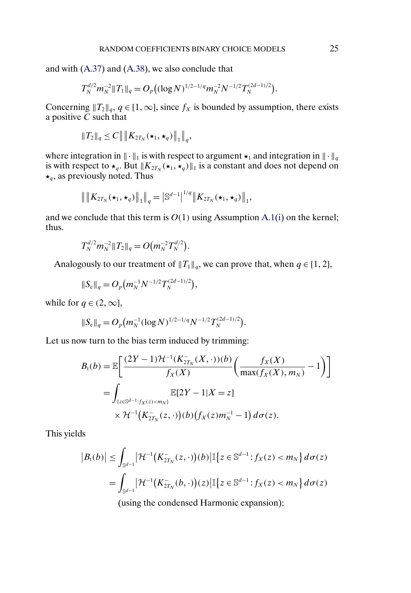and with [\(A.37\)](#page-21-0) and [\(A.38\)](#page-22-0), we also conclude that

$$
T_N^{d/2} m_N^{-2} \|T_1\|_q = O_p((\log N)^{1/2-1/q} m_N^{-2} N^{-1/2} T_N^{(2d-1)/2}).
$$

Concerning  $||T_2||_q$ ,  $q \in [1,\infty]$ , since  $f_X$  is bounded by assumption, there exists a positive  $C$  such that

$$
||T_2||_q \le C || ||K_{2T_N}(\star_1, \star_q)||_1 ||_q,
$$

where integration in  $\|\cdot\|_1$  is with respect to argument  $\star_1$  and integration in  $\|\cdot\|_q$ is with respect to  $\star_q$ . But  $||K_{2T_N}(\star_1, \star_q)||_1$  is a constant and does not depend on  $\star_a$ , as previously noted. Thus

$$
\left\| \left\| K_{2T_N}(\star_1, \star_q) \right\|_1 \right\|_q = \left| \mathbb{S}^{d-1} \right|^{1/q} \left\| K_{2T_N}(\star_1, \star_q) \right\|_1,
$$

and we conclude that this term is  $O(1)$  using Assumption [A.1\(i\)](#page-7-0) on the kernel; thus.

$$
T_N^{d/2}m_N^{-2}\|T_2\|_q=O\big(m_N^{-2}T_N^{d/2}\big).
$$

Analogously to our treatment of  $||T_1||_q$ , we can prove that, when  $q \in [1, 2]$ ,

$$
\|S_{\rm e}\|_q = O_p(m_N^{-1}N^{-1/2}T_N^{(2d-1)/2}),
$$

while for  $q \in (2, \infty]$ ,

$$
||S_{\rm e}||_q = O_p(m_N^{-1}(\log N)^{1/2-1/q}N^{-1/2}T_N^{(2d-1)/2}).
$$

Let us now turn to the bias term induced by trimming:

$$
B_t(b) = \mathbb{E}\bigg[\frac{(2Y-1)\mathcal{H}^{-1}(K_{2T_N}^-(X,\cdot))(b)}{f_X(X)}\bigg(\frac{f_X(X)}{\max(f_X(X),m_N)}-1\bigg)\bigg]
$$
  
= 
$$
\int_{\{z\in\mathbb{S}^{d-1}:f_X(z)
$$

This yields

$$
|B_t(b)| \le \int_{\mathbb{S}^{d-1}} |\mathcal{H}^{-1}(K_{2T_N}^-(z,\cdot))(b)| \mathbb{I}\left\{z \in \mathbb{S}^{d-1} : f_X(z) < m_N\right\} d\sigma(z)
$$
\n
$$
= \int_{\mathbb{S}^{d-1}} |\mathcal{H}^{-1}(K_{2T_N}^-(b,\cdot))(z)| \mathbb{I}\left\{z \in \mathbb{S}^{d-1} : f_X(z) < m_N\right\} d\sigma(z)
$$
\n(using the condensed Harmonic expansion):

(using the condensed Harmonic expansion);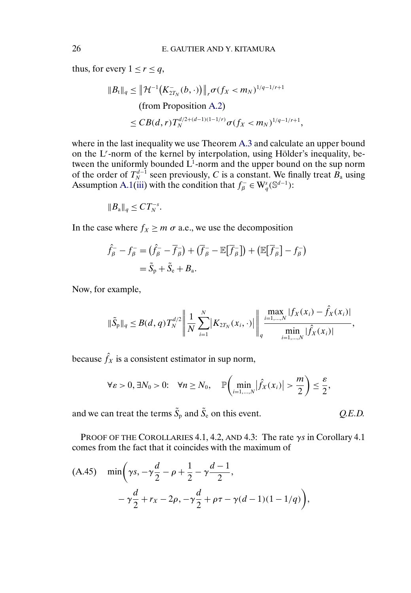thus, for every  $1 \le r \le q$ ,

$$
||B_t||_q \le ||\mathcal{H}^{-1}(K_{2T_N}^-(b,\cdot))||_r \sigma(f_X < m_N)^{1/q-1/r+1}
$$
  
(from Proposition A.2)  

$$
\le CB(d,r)T_N^{d/2+(d-1)(1-1/r)}\sigma(f_X < m_N)^{1/q-1/r+1},
$$

where in the last inequality we use Theorem [A.3](#page-14-0) and calculate an upper bound on the L'-norm of the kernel by interpolation, using Hölder's inequality, between the uniformly bounded  $L^1$ -norm and the upper bound on the sup norm of the order of  $T_N^{d-1}$  seen previously, C is a constant. We finally treat  $B_a$  using Assumption [A.1\(iii\)](#page-7-0) with the condition that  $f_{\beta}^- \in W_q^s(\mathbb{S}^{d-1})$ :

$$
||B_{\mathbf{a}}||_q \leq CT_N^{-s}.
$$

In the case where  $f_X \ge m \sigma$  a.e., we use the decomposition

$$
\hat{f}_{\beta}^- - f_{\beta}^- = (\hat{f}_{\beta}^- - \overline{f}_{\beta}^-) + (\overline{f}_{\beta}^- - \mathbb{E}[\overline{f}_{\beta}^-]) + (\mathbb{E}[\overline{f}_{\beta}^-] - f_{\beta}^-)
$$
  
=  $\tilde{S}_{p} + \tilde{S}_{e} + B_{a}$ .

Now, for example,

$$
\|\tilde{S}_{p}\|_{q} \leq B(d,q)T_{N}^{d/2}\left\|\frac{1}{N}\sum_{i=1}^{N}|K_{2T_{N}}(x_{i},\cdot)|\right\|\lim_{q}\frac{\max_{i=1,\dots,N}|f_{X}(x_{i})-\hat{f}_{X}(x_{i})|}{\min_{i=1,\dots,N}|\hat{f}_{X}(x_{i})|},
$$

because  $\hat{f}_X$  is a consistent estimator in sup norm,

$$
\forall \varepsilon > 0, \exists N_0 > 0: \quad \forall n \ge N_0, \quad \mathbb{P}\bigg(\min_{i=1,\dots,N} \big|\hat{f}_X(x_i)\big| > \frac{m}{2}\bigg) \le \frac{\varepsilon}{2},
$$

and we can treat the terms  $\tilde{S}_p$  and  $\tilde{S}_e$  on this event.  $Q.E.D.$ 

PROOF OF THE COROLLARIES 4.1, 4.2, AND 4.3: The rate  $\gamma s$  in Corollary 4.1 comes from the fact that it coincides with the maximum of

(A.45) 
$$
\min\left(\gamma s, -\gamma \frac{d}{2} - \rho + \frac{1}{2} - \gamma \frac{d-1}{2}, -\gamma \frac{d}{2} + r_x - 2\rho, -\gamma \frac{d}{2} + \rho \tau - \gamma (d-1)(1-1/q)\right),
$$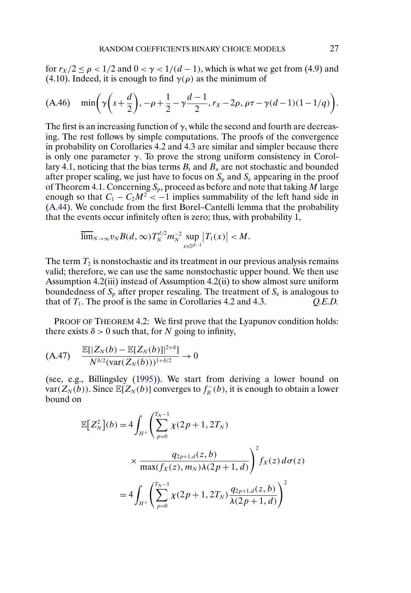<span id="page-26-0"></span>for  $r_X/2 < \rho < 1/2$  and  $0 < \gamma < 1/(d-1)$ , which is what we get from (4.9) and (4.10). Indeed, it is enough to find  $\gamma(\rho)$  as the minimum of

$$
(A.46) \quad \min\left(\gamma\left(s+\frac{d}{2}\right), -\rho+\frac{1}{2}-\gamma\frac{d-1}{2}, r_X-2\rho, \rho\tau-\gamma(d-1)(1-1/q)\right).
$$

The first is an increasing function of  $\gamma$ , while the second and fourth are decreasing. The rest follows by simple computations. The proofs of the convergence in probability on Corollaries 4.2 and 4.3 are similar and simpler because there is only one parameter  $\gamma$ . To prove the strong uniform consistency in Corollary 4.1, noticing that the bias terms  $B_t$  and  $B_a$  are not stochastic and bounded after proper scaling, we just have to focus on  $S_p$  and  $S_e$  appearing in the proof of Theorem 4.1. Concerning  $S_p$ , proceed as before and note that taking M large enough so that  $C_1 - C_2 M^2 < -1$  implies summability of the left hand side in [\(A.44\)](#page-23-0). We conclude from the first Borel–Cantelli lemma that the probability that the events occur infinitely often is zero; thus, with probability 1,

$$
\overline{\lim}_{N\to\infty}v_NB(d,\infty)T_N^{d/2}m_N^{-2}\sup_{x\in\mathbb{S}^{d-1}}|T_1(x)|
$$

The term  $T_2$  is nonstochastic and its treatment in our previous analysis remains valid; therefore, we can use the same nonstochastic upper bound. We then use Assumption 4.2(iii) instead of Assumption 4.2(ii) to show almost sure uniform boundedness of  $S_p$  after proper rescaling. The treatment of  $S_e$  is analogous to that of  $T_1$ . The proof is the same in Corollaries 4.2 and 4.3.  $Q.E.D.$ 

PROOF OF THEOREM 4.2: We first prove that the Lyapunov condition holds: there exists  $\delta > 0$  such that, for N going to infinity,

$$
(A.47) \quad \frac{\mathbb{E}[|Z_N(b) - \mathbb{E}[Z_N(b)]|^{2+\delta}]}{N^{\delta/2}(\text{var}(Z_N(b)))^{1+\delta/2}} \to 0
$$

(see, e.g., Billingsley [\(1995\)](#page-29-0)). We start from deriving a lower bound on var( $Z_N(b)$ ). Since  $\mathbb{E}[Z_N(b)]$  converges to  $f_\beta^-(b)$ , it is enough to obtain a lower bound on

$$
\mathbb{E}\left[Z_N^2\right](b) = 4 \int_{H^+} \left(\sum_{p=0}^{T_N - 1} \chi(2p + 1, 2T_N) \times \frac{q_{2p+1,d}(z, b)}{\max(f_X(z), m_N)\lambda(2p + 1, d)}\right)^2 f_X(z) d\sigma(z)
$$

$$
= 4 \int_{H^+} \left(\sum_{p=0}^{T_N - 1} \chi(2p + 1, 2T_N) \frac{q_{2p+1,d}(z, b)}{\lambda(2p + 1, d)}\right)^2
$$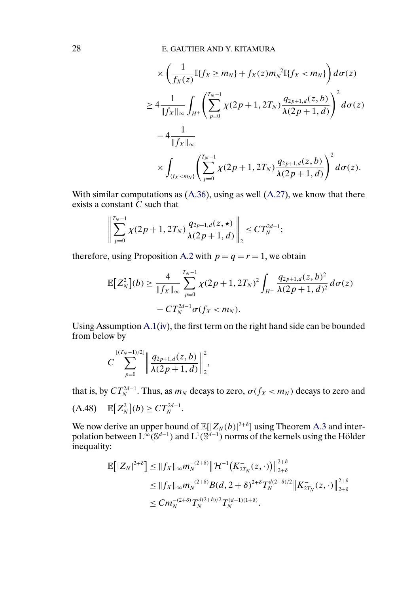<span id="page-27-0"></span>
$$
\times \left( \frac{1}{f_X(z)} \mathbb{I} \{ f_X \ge m_N \} + f_X(z) m_N^{-2} \mathbb{I} \{ f_X < m_N \} \right) d\sigma(z)
$$
  
\n
$$
\ge 4 \frac{1}{\| f_X \|_{\infty}} \int_{H^+} \left( \sum_{p=0}^{T_N - 1} \chi(2p + 1, 2T_N) \frac{q_{2p+1,d}(z, b)}{\lambda(2p + 1, d)} \right)^2 d\sigma(z)
$$
  
\n
$$
-4 \frac{1}{\| f_X \|_{\infty}}
$$
  
\n
$$
\times \int_{\{ f_X < m_N \}} \left( \sum_{p=0}^{T_N - 1} \chi(2p + 1, 2T_N) \frac{q_{2p+1,d}(z, b)}{\lambda(2p + 1, d)} \right)^2 d\sigma(z).
$$

With similar computations as  $(A.36)$ , using as well  $(A.27)$ , we know that there exists a constant  $\tilde{C}$  such that

$$
\left\| \sum_{p=0}^{T_N-1} \chi(2p+1, 2T_N) \frac{q_{2p+1,d}(z, \star)}{\lambda(2p+1, d)} \right\|_2 \le C T_N^{2d-1};
$$

therefore, using Proposition [A.2](#page-6-0) with  $p = q = r = 1$ , we obtain

$$
\mathbb{E}\big[Z_N^2\big](b) \ge \frac{4}{\|f_X\|_{\infty}} \sum_{p=0}^{T_N-1} \chi(2p+1, 2T_N)^2 \int_{H^+} \frac{q_{2p+1,d}(z,b)^2}{\lambda(2p+1,d)^2} d\sigma(z) - CT_N^{2d-1} \sigma(f_X < m_N).
$$

Using Assumption [A.1\(iv\)](#page-7-0), the first term on the right hand side can be bounded from below by

$$
C\sum_{p=0}^{\lfloor (T_N-1)/2 \rfloor} \left\| \frac{q_{2p+1,d}(z,b)}{\lambda(2p+1,d)} \right\|_2^2,
$$

that is, by  $CT_N^{2d-1}$ . Thus, as  $m_N$  decays to zero,  $\sigma(f_X < m_N)$  decays to zero and  $(A.48)$   $\mathbb{E}[Z_N^2](b) \geq C T_N^{2d-1}.$ 

We now derive an upper bound of  $\mathbb{E}[|Z_N(b)|^{2+\delta}]$  using Theorem [A.3](#page-14-0) and interpolation between  $\text{L}^{\infty}(\mathbb{S}^{d-1})$  and  $\text{L}^1(\mathbb{S}^{d-1})$  norms of the kernels using the Hölder inequality:

$$
\mathbb{E}\big[|Z_N|^{2+\delta}\big] \le \|f_X\|_{\infty} m_N^{-(2+\delta)} \|\mathcal{H}^{-1}\big(K_{2T_N}^-(z,\cdot)\big)\|_{2+\delta}^{2+\delta}
$$
  
\n
$$
\le \|f_X\|_{\infty} m_N^{-(2+\delta)} B(d, 2+\delta)^{2+\delta} T_N^{d(2+\delta)/2} \|K_{2T_N}^-(z,\cdot)\|_{2+\delta}^{2+\delta}
$$
  
\n
$$
\le C m_N^{-(2+\delta)} T_N^{d(2+\delta)/2} T_N^{(d-1)(1+\delta)}.
$$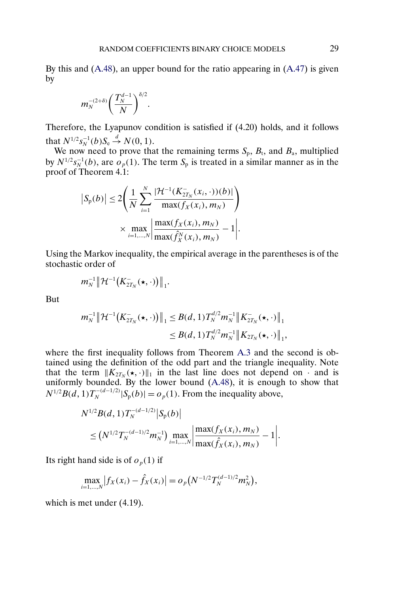By this and [\(A.48\)](#page-27-0), an upper bound for the ratio appearing in [\(A.47\)](#page-26-0) is given by

$$
m_N^{-(2+\delta)}\bigg(\frac{T_N^{d-1}}{N}\bigg)^{\delta/2}.
$$

Therefore, the Lyapunov condition is satisfied if (4.20) holds, and it follows that  $N^{1/2} s_N^{-1}(b) S_e \stackrel{d}{\to} N(0, 1)$ .

We now need to prove that the remaining terms  $S_p$ ,  $B_t$ , and  $B_a$ , multiplied by  $N^{1/2} s_N^{-1}(b)$ , are  $o_p(1)$ . The term  $S_p$  is treated in a similar manner as in the proof of Theorem 4.1:

$$
|S_p(b)| \le 2\left(\frac{1}{N}\sum_{i=1}^N \frac{|\mathcal{H}^{-1}(K_{2T_N}^-(x_i,\cdot))(b)|}{\max(f_X(x_i), m_N)}\right) \times \max_{i=1,\dots,N} \left|\frac{\max(f_X(x_i), m_N)}{\max(\hat{f}_X^N(x_i), m_N)} - 1\right|.
$$

Using the Markov inequality, the empirical average in the parentheses is of the stochastic order of

$$
m_N^{-1}\big\|\mathcal{H}^{-1}\big(K^-_{2T_N}(\star,\cdot)\big)\big\|_1.
$$

But

$$
m_N^{-1} \|\mathcal{H}^{-1}(K_{2T_N}^{-}(\star,\cdot))\|_1 \leq B(d,1)T_N^{d/2}m_N^{-1} \|K_{2T_N}^{-}(\star,\cdot)\|_1
$$
  

$$
\leq B(d,1)T_N^{d/2}m_N^{-1} \|K_{2T_N}(\star,\cdot)\|_1,
$$

where the first inequality follows from Theorem [A.3](#page-14-0) and the second is obtained using the definition of the odd part and the triangle inequality. Note that the term  $||K_{2T_N}(\star,\cdot)||_1$  in the last line does not depend on  $\cdot$  and is uniformly bounded. By the lower bound [\(A.48\)](#page-27-0), it is enough to show that  $N^{1/2}B(d, 1)T_N^{-(d-1/2)}|S_p(b)| = o_p(1)$ . From the inequality above,

$$
N^{1/2}B(d, 1)T_N^{-(d-1/2)}|S_p(b)|
$$
  
 
$$
\leq (N^{1/2}T_N^{-(d-1)/2}m_N^{-1}) \max_{i=1,\dots,N} \left| \frac{\max(f_X(x_i), m_N)}{\max(\hat{f}_X(x_i), m_N)} - 1 \right|.
$$

Its right hand side is of  $o_p(1)$  if

$$
\max_{i=1,\ldots,N} \left| f_X(x_i) - \hat{f}_X(x_i) \right| = o_p(N^{-1/2}T_N^{(d-1)/2}m_N^2),
$$

which is met under (4.19).